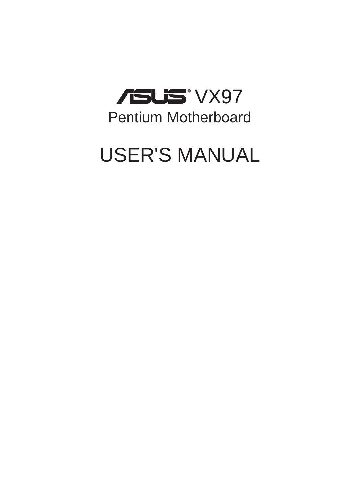

Pentium Motherboard

## USER'S MANUAL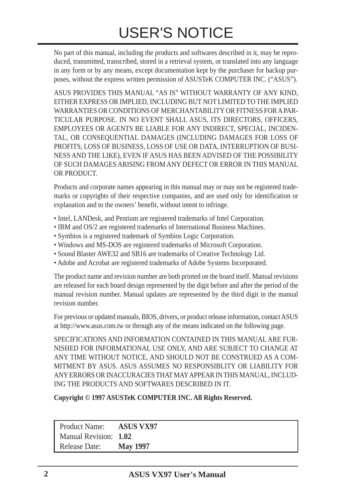## USER'S NOTICE

No part of this manual, including the products and softwares described in it, may be reproduced, transmitted, transcribed, stored in a retrieval system, or translated into any language in any form or by any means, except documentation kept by the purchaser for backup purposes, without the express written permission of ASUSTeK COMPUTER INC. ("ASUS").

ASUS PROVIDES THIS MANUAL "AS IS" WITHOUT WARRANTY OF ANY KIND, EITHER EXPRESS OR IMPLIED, INCLUDING BUT NOT LIMITED TO THE IMPLIED WARRANTIES OR CONDITIONS OF MERCHANTABILITY OR FITNESS FOR A PAR-TICULAR PURPOSE. IN NO EVENT SHALL ASUS, ITS DIRECTORS, OFFICERS, EMPLOYEES OR AGENTS BE LIABLE FOR ANY INDIRECT, SPECIAL, INCIDEN-TAL, OR CONSEQUENTIAL DAMAGES (INCLUDING DAMAGES FOR LOSS OF PROFITS, LOSS OF BUSINESS, LOSS OF USE OR DATA, INTERRUPTION OF BUSI-NESS AND THE LIKE), EVEN IF ASUS HAS BEEN ADVISED OF THE POSSIBILITY OF SUCH DAMAGES ARISING FROM ANY DEFECT OR ERROR IN THIS MANUAL OR PRODUCT.

Products and corporate names appearing in this manual may or may not be registered trademarks or copyrights of their respective companies, and are used only for identification or explanation and to the owners' benefit, without intent to infringe.

- Intel, LANDesk, and Pentium are registered trademarks of Intel Corporation.
- IBM and OS/2 are registered trademarks of International Business Machines.
- Symbios is a registered trademark of Symbios Logic Corporation.
- Windows and MS-DOS are registered trademarks of Microsoft Corporation.
- Sound Blaster AWE32 and SB16 are trademarks of Creative Technology Ltd.
- Adobe and Acrobat are registered trademarks of Adobe Systems Incorporated.

The product name and revision number are both printed on the board itself. Manual revisions are released for each board design represented by the digit before and after the period of the manual revision number. Manual updates are represented by the third digit in the manual revision number.

For previous or updated manuals, BIOS, drivers, or product release information, contact ASUS at http://www.asus.com.tw or through any of the means indicated on the following page.

SPECIFICATIONS AND INFORMATION CONTAINED IN THIS MANUAL ARE FUR-NISHED FOR INFORMATIONAL USE ONLY, AND ARE SUBJECT TO CHANGE AT ANY TIME WITHOUT NOTICE, AND SHOULD NOT BE CONSTRUED AS A COM-MITMENT BY ASUS. ASUS ASSUMES NO RESPONSIBLITY OR LIABILITY FOR ANY ERRORS OR INACCURACIES THAT MAY APPEAR IN THIS MANUAL, INCLUD-ING THE PRODUCTS AND SOFTWARES DESCRIBED IN IT.

**Copyright © 1997 ASUSTeK COMPUTER INC. All Rights Reserved.**

| Product Name: ASUS VX97 |                 |
|-------------------------|-----------------|
| Manual Revision: 1.02   |                 |
| <b>Release Date:</b>    | <b>May 1997</b> |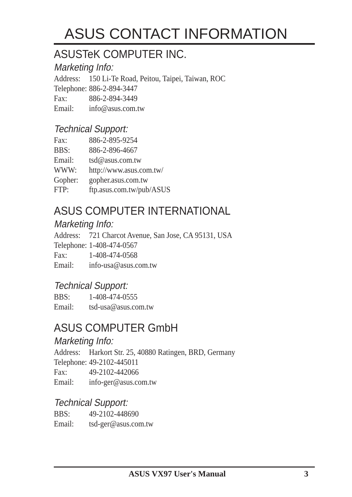## ASUS CONTACT INFORMATION

## ASUSTeK COMPUTER INC.

#### Marketing Info:

Address: 150 Li-Te Road, Peitou, Taipei, Taiwan, ROC Telephone: 886-2-894-3447 Fax: 886-2-894-3449

Email: info@asus.com.tw

#### Technical Support:

| Fax:        | 886-2-895-9254           |
|-------------|--------------------------|
| <b>BBS:</b> | 886-2-896-4667           |
| Email:      | tsd@asus.com.tw          |
| WWW:        | http://www.asus.com.tw/  |
| Gopher:     | gopher.asus.com.tw       |
| FTP:        | ftp.asus.com.tw/pub/ASUS |

## ASUS COMPUTER INTERNATIONAL

#### Marketing Info:

Address: 721 Charcot Avenue, San Jose, CA 95131, USA Telephone: 1-408-474-0567 Fax: 1-408-474-0568 Email: info-usa@asus.com.tw

#### Technical Support:

BBS: 1-408-474-0555 Email:  $tsd-usa@asus.com$  tw

## ASUS COMPUTER GmbH

#### Marketing Info:

Address: Harkort Str. 25, 40880 Ratingen, BRD, Germany Telephone: 49-2102-445011 Fax: 49-2102-442066

Email: info-ger@asus.com.tw

#### Technical Support:

| <b>BBS:</b> | 49-2102-448690      |
|-------------|---------------------|
| Email:      | tsd-ger@asus.com.tw |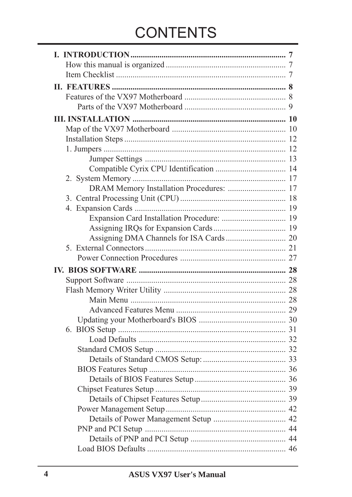## **CONTENTS**

| DRAM Memory Installation Procedures:  17 |  |
|------------------------------------------|--|
|                                          |  |
|                                          |  |
|                                          |  |
|                                          |  |
|                                          |  |
|                                          |  |
|                                          |  |
|                                          |  |
|                                          |  |
|                                          |  |
|                                          |  |
|                                          |  |
|                                          |  |
|                                          |  |
|                                          |  |
|                                          |  |
|                                          |  |
|                                          |  |
|                                          |  |
|                                          |  |
|                                          |  |
|                                          |  |
|                                          |  |
|                                          |  |
|                                          |  |
|                                          |  |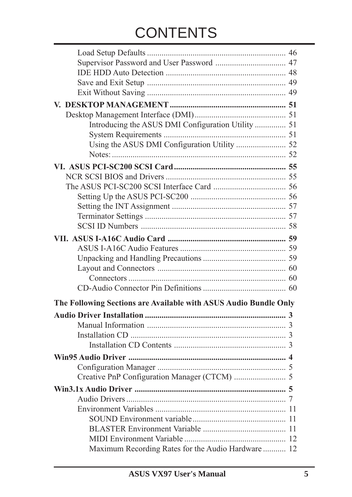## **CONTENTS**

| Introducing the ASUS DMI Configuration Utility  51               |  |
|------------------------------------------------------------------|--|
|                                                                  |  |
|                                                                  |  |
|                                                                  |  |
|                                                                  |  |
|                                                                  |  |
|                                                                  |  |
|                                                                  |  |
|                                                                  |  |
|                                                                  |  |
|                                                                  |  |
|                                                                  |  |
|                                                                  |  |
|                                                                  |  |
|                                                                  |  |
|                                                                  |  |
|                                                                  |  |
| The Following Sections are Available with ASUS Audio Bundle Only |  |
|                                                                  |  |
|                                                                  |  |
|                                                                  |  |
|                                                                  |  |
|                                                                  |  |
|                                                                  |  |
|                                                                  |  |
|                                                                  |  |
|                                                                  |  |
|                                                                  |  |
|                                                                  |  |
|                                                                  |  |
|                                                                  |  |
| Maximum Recording Rates for the Audio Hardware  12               |  |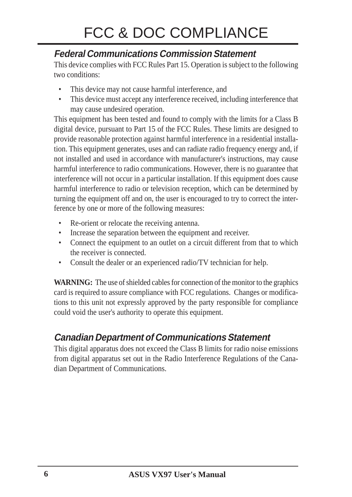### **Federal Communications Commission Statement**

This device complies with FCC Rules Part 15. Operation is subject to the following two conditions:

- This device may not cause harmful interference, and
- This device must accept any interference received, including interference that may cause undesired operation.

This equipment has been tested and found to comply with the limits for a Class B digital device, pursuant to Part 15 of the FCC Rules. These limits are designed to provide reasonable protection against harmful interference in a residential installation. This equipment generates, uses and can radiate radio frequency energy and, if not installed and used in accordance with manufacturer's instructions, may cause harmful interference to radio communications. However, there is no guarantee that interference will not occur in a particular installation. If this equipment does cause harmful interference to radio or television reception, which can be determined by turning the equipment off and on, the user is encouraged to try to correct the interference by one or more of the following measures:

- Re-orient or relocate the receiving antenna.
- Increase the separation between the equipment and receiver.
- Connect the equipment to an outlet on a circuit different from that to which the receiver is connected.
- Consult the dealer or an experienced radio/TV technician for help.

**WARNING:** The use of shielded cables for connection of the monitor to the graphics card is required to assure compliance with FCC regulations. Changes or modifications to this unit not expressly approved by the party responsible for compliance could void the user's authority to operate this equipment.

### **Canadian Department of Communications Statement**

This digital apparatus does not exceed the Class B limits for radio noise emissions from digital apparatus set out in the Radio Interference Regulations of the Canadian Department of Communications.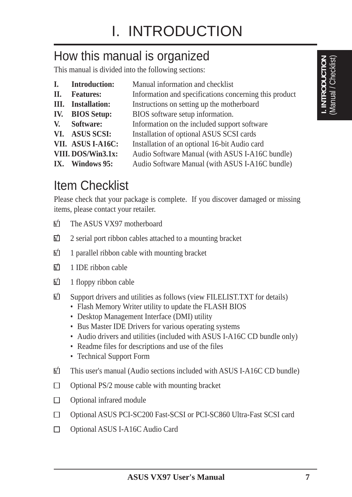## How this manual is organized

This manual is divided into the following sections:

| $\mathbf{I}$ . | <b>Introduction:</b> | Manual information and checklist                       |
|----------------|----------------------|--------------------------------------------------------|
| П.             | <b>Features:</b>     | Information and specifications concerning this product |
| Ш.             | <b>Installation:</b> | Instructions on setting up the motherboard             |
|                | IV. BIOS Setup:      | BIOS software setup information.                       |
| V.             | Software:            | Information on the included support software           |
|                | VI. ASUS SCSI:       | Installation of optional ASUS SCSI cards               |
|                | VII. ASUS I-A16C:    | Installation of an optional 16-bit Audio card          |
|                | VIII. DOS/Win3.1x:   | Audio Software Manual (with ASUS I-A16C bundle)        |
|                | IX. Windows 95:      | Audio Software Manual (with ASUS I-A16C bundle)        |

## Item Checklist

Please check that your package is complete. If you discover damaged or missing items, please contact your retailer.

- √ The ASUS VX97 motherboard
- $\Box$  2 serial port ribbon cables attached to a mounting bracket
- $\Box$  1 parallel ribbon cable with mounting bracket
- $\overline{w}$  1 IDE ribbon cable
- $\Box$  1 floppy ribbon cable
- $\Box$  Support drivers and utilities as follows (view FILELIST.TXT for details)
	- Flash Memory Writer utility to update the FLASH BIOS
	- Desktop Management Interface (DMI) utility
	- Bus Master IDE Drivers for various operating systems
	- Audio drivers and utilities (included with ASUS I-A16C CD bundle only)
	- Readme files for descriptions and use of the files
	- Technical Support Form
- $\overrightarrow{v}$  This user's manual (Audio sections included with ASUS I-A16C CD bundle)
- Optional PS/2 mouse cable with mounting bracket  $\Box$
- $\Box$ Optional infrared module
- $\Box$ Optional ASUS PCI-SC200 Fast-SCSI or PCI-SC860 Ultra-Fast SCSI card
- $\Box$ Optional ASUS I-A16C Audio Card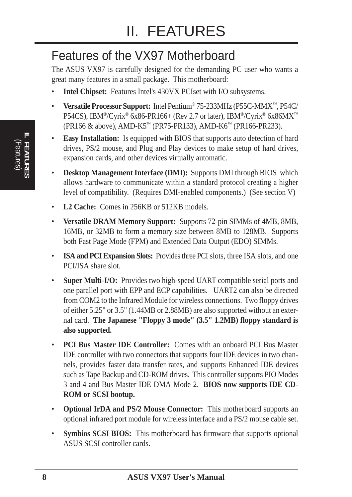## Features of the VX97 Motherboard

The ASUS VX97 is carefully designed for the demanding PC user who wants a great many features in a small package. This motherboard:

- **Intel Chipset:** Features Intel's 430VX PCIset with I/O subsystems.
- **Versatile Processor Support:** Intel Pentium® 75-233MHz (P55C-MMX™, P54C/ P54CS), IBM®/Cyrix® 6x86-PR166+ (Rev 2.7 or later), IBM®/Cyrix® 6x86MX™ (PR166 & above), AMD-K5™ (PR75-PR133), AMD-K6™ (PR166-PR233).
- **Easy Installation:** Is equipped with BIOS that supports auto detection of hard drives, PS/2 mouse, and Plug and Play devices to make setup of hard drives, expansion cards, and other devices virtually automatic.
- **Desktop Management Interface (DMI):** Supports DMI through BIOS which allows hardware to communicate within a standard protocol creating a higher level of compatibility. (Requires DMI-enabled components.) (See section V)
- **L2 Cache:** Comes in 256KB or 512KB models.
- **Versatile DRAM Memory Support:** Supports 72-pin SIMMs of 4MB, 8MB, 16MB, or 32MB to form a memory size between 8MB to 128MB. Supports both Fast Page Mode (FPM) and Extended Data Output (EDO) SIMMs.
- **ISA and PCI Expansion Slots:** Provides three PCI slots, three ISA slots, and one PCI/ISA share slot.
- **Super Multi-I/O:** Provides two high-speed UART compatible serial ports and one parallel port with EPP and ECP capabilities. UART2 can also be directed from COM2 to the Infrared Module for wireless connections. Two floppy drives of either 5.25" or 3.5" (1.44MB or 2.88MB) are also supported without an external card. **The Japanese "Floppy 3 mode" (3.5" 1.2MB) floppy standard is also supported.**
- **PCI Bus Master IDE Controller:** Comes with an onboard PCI Bus Master IDE controller with two connectors that supports four IDE devices in two channels, provides faster data transfer rates, and supports Enhanced IDE devices such as Tape Backup and CD-ROM drives. This controller supports PIO Modes 3 and 4 and Bus Master IDE DMA Mode 2. **BIOS now supports IDE CD-ROM or SCSI bootup.**
- **Optional IrDA and PS/2 Mouse Connector:** This motherboard supports an optional infrared port module for wireless interface and a PS/2 mouse cable set.
- **Symbios SCSI BIOS:** This motherboard has firmware that supports optional ASUS SCSI controller cards.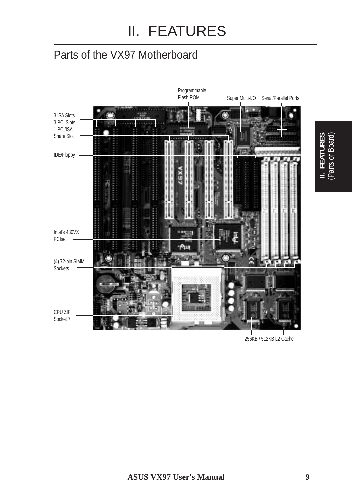## Parts of the VX97 Motherboard



256KB / 512KB L2 Cache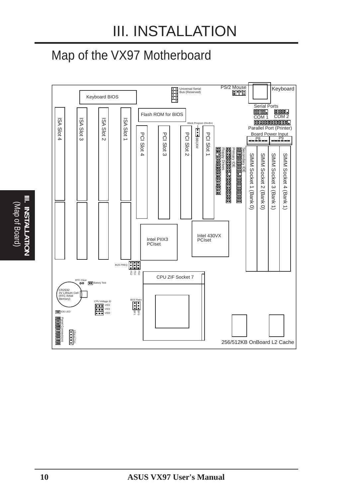## Map of the VX97 Motherboard

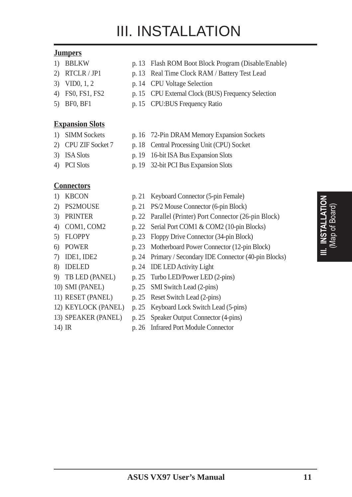## III. INSTALLATION

#### **Jumpers**

- 
- 
- 
- 
- 

#### **Expansion Slots**

- 
- 
- 
- 

#### **Connectors**

- 
- 
- 
- 
- 
- 
- 
- 
- 
- 
- 
- 
- 
- 
- 1) BBLKW p. 13 Flash ROM Boot Block Program (Disable/Enable)
- 2) RTCLR / JP1 p. 13 Real Time Clock RAM / Battery Test Lead
- 3) VID0, 1, 2 p. 14 CPU Voltage Selection
- 4) FS0, FS1, FS2 p. 15 CPU External Clock (BUS) Frequency Selection
- 5) BF0, BF1 p. 15 CPU:BUS Frequency Ratio
- 1) SIMM Sockets p. 16 72-Pin DRAM Memory Expansion Sockets
- 2) CPU ZIF Socket 7 p. 18 Central Processing Unit (CPU) Socket
- 3) ISA Slots p. 19 16-bit ISA Bus Expansion Slots
- 4) PCI Slots p. 19 32-bit PCI Bus Expansion Slots
- 1) KBCON p. 21 Keyboard Connector (5-pin Female)
- 2) PS2MOUSE p. 21 PS/2 Mouse Connector (6-pin Block)
- 3) PRINTER p. 22 Parallel (Printer) Port Connector (26-pin Block)
- 4) COM1, COM2 p. 22 Serial Port COM1 & COM2 (10-pin Blocks)
- 5) FLOPPY p. 23 Floppy Drive Connector (34-pin Block)
- 6) POWER p. 23 Motherboard Power Connector (12-pin Block)
- 7) IDE1, IDE2 p. 24 Primary / Secondary IDE Connector (40-pin Blocks)
- 8) **IDELED** p. 24 **IDE LED** Activity Light
- 9) TB LED (PANEL) p. 25 Turbo LED/Power LED (2-pins)
- 10) SMI (PANEL) p. 25 SMI Switch Lead (2-pins)
- 11) RESET (PANEL) p. 25 Reset Switch Lead (2-pins)
- 12) KEYLOCK (PANEL) p. 25 Keyboard Lock Switch Lead (5-pins)
- 13) SPEAKER (PANEL) p. 25 Speaker Output Connector (4-pins)
- 14) IR p. 26 Infrared Port Module Connector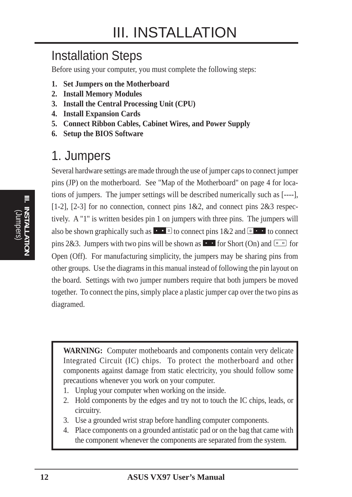## Installation Steps

Before using your computer, you must complete the following steps:

- **1. Set Jumpers on the Motherboard**
- **2. Install Memory Modules**
- **3. Install the Central Processing Unit (CPU)**
- **4. Install Expansion Cards**
- **5. Connect Ribbon Cables, Cabinet Wires, and Power Supply**
- **6. Setup the BIOS Software**

## 1. Jumpers

Several hardware settings are made through the use of jumper caps to connect jumper pins (JP) on the motherboard. See "Map of the Motherboard" on page 4 for locations of jumpers. The jumper settings will be described numerically such as [----], [1-2], [2-3] for no connection, connect pins 1&2, and connect pins 2&3 respectively. A "1" is written besides pin 1 on jumpers with three pins. The jumpers will also be shown graphically such as  $\bullet \bullet \bullet$  to connect pins  $1\&2$  and  $\bullet \bullet \bullet$  to connect pins 2&3. Jumpers with two pins will be shown as **For** Short (On) and  $\boxed{ }$  or for Open (Off). For manufacturing simplicity, the jumpers may be sharing pins from other groups. Use the diagrams in this manual instead of following the pin layout on the board. Settings with two jumper numbers require that both jumpers be moved together. To connect the pins, simply place a plastic jumper cap over the two pins as diagramed.

**WARNING:** Computer motheboards and components contain very delicate Integrated Circuit (IC) chips. To protect the motherboard and other components against damage from static electricity, you should follow some precautions whenever you work on your computer.

- 1. Unplug your computer when working on the inside.
- 2. Hold components by the edges and try not to touch the IC chips, leads, or circuitry.
- 3. Use a grounded wrist strap before handling computer components.
- 4. Place components on a grounded antistatic pad or on the bag that came with the component whenever the components are separated from the system.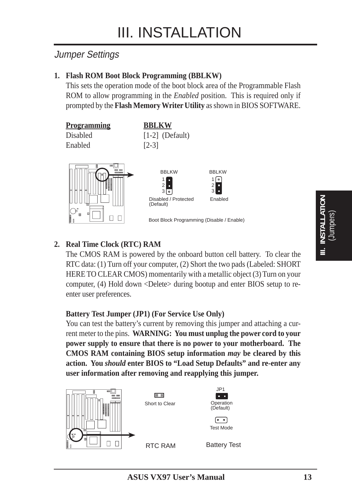#### Jumper Settings

#### **1. Flash ROM Boot Block Programming (BBLKW)**

This sets the operation mode of the boot block area of the Programmable Flash ROM to allow programming in the *Enabled* position. This is required only if prompted by the **Flash Memory Writer Utility** as shown in BIOS SOFTWARE.



#### **2. Real Time Clock (RTC) RAM**

The CMOS RAM is powered by the onboard button cell battery. To clear the RTC data: (1) Turn off your computer, (2) Short the two pads (Labeled: SHORT HERE TO CLEAR CMOS) momentarily with a metallic object (3) Turn on your computer, (4) Hold down <Delete> during bootup and enter BIOS setup to reenter user preferences.

#### **Battery Test Jumper (JP1) (For Service Use Only)**

You can test the battery's current by removing this jumper and attaching a current meter to the pins. **WARNING: You must unplug the power cord to your power supply to ensure that there is no power to your motherboard. The CMOS RAM containing BIOS setup information** *may* **be cleared by this action. You** *should* **enter BIOS to "Load Setup Defaults" and re-enter any user information after removing and reapplying this jumper.**

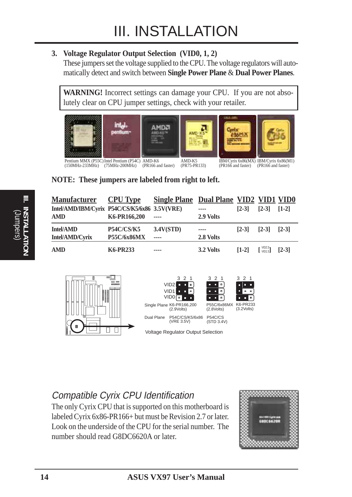#### **3. Voltage Regulator Output Selection (VID0, 1, 2)**

These jumpers set the voltage supplied to the CPU. The voltage regulators will automatically detect and switch between **Single Power Plane** & **Dual Power Planes**.

**WARNING!** Incorrect settings can damage your CPU. If you are not absolutely clear on CPU jumper settings, check with your retailer.



#### **NOTE: These jumpers are labeled from right to left.**

| <b>Manufacturer</b><br>Intel/AMD/IBM/Cyrix P54C/CS/K5/6x86 3.5V(VRE)<br>AMD | <b>CPU Type</b><br>K6-PR166,200  | Single Plane Dual Plane VID2 VID1 VID0 | ----<br>2.9 Volts | $[2-3]$          | $[2-3]$                                | $[1-2]$ |
|-----------------------------------------------------------------------------|----------------------------------|----------------------------------------|-------------------|------------------|----------------------------------------|---------|
| Intel/AMD<br>Intel/AMD/Cyrix                                                | <b>P54C/CS/K5</b><br>P55C/6x86MX | 3.4V(STD)<br>----                      | ----<br>2.8 Volts | $[2-3]$          | $[2-3]$                                | $[2-3]$ |
| AMD                                                                         | K6-PR233                         |                                        | 3.2 Volts         | $[1-2]$          | $\Gamma_{\text{WD1:3}}^{\text{WD2:3}}$ | $[2-3]$ |
| H                                                                           | aan l<br>munum                   | 3 2 1<br>$VID2$ $\Box$                 | 3 2 1<br>an Ind   | 3 2 1<br>- 1 - 1 |                                        |         |



### Compatible Cyrix CPU Identification

The only Cyrix CPU that is supported on this motherboard is labeled Cyrix 6x86-PR166+ but must be Revision 2.7 or later. Look on the underside of the CPU for the serial number. The number should read G8DC6620A or later.

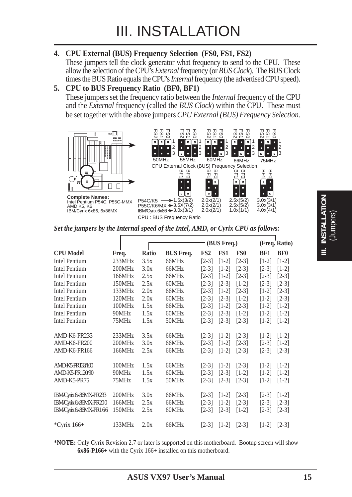#### **4. CPU External (BUS) Frequency Selection (FS0, FS1, FS2)**

These jumpers tell the clock generator what frequency to send to the CPU. These allow the selection of the CPU's *External* frequency (or *BUS Clock*). The BUS Clock times the BUS Ratio equals the CPU's *Internal* frequency (the advertised CPU speed).

#### **5. CPU to BUS Frequency Ratio (BF0, BF1)** These jumpers set the frequency ratio between the *Internal* frequency of the CPU and the *External* frequency (called the *BUS Clock*) within the CPU. These must be set together with the above jumpers *CPU External (BUS) Frequency Selection.*



*Set the jumpers by the Internal speed of the Intel, AMD, or Cyrix CPU as follows:*

|                         |        |              |                  |                 | (BUS Freq.) |            |                 | (Freq. Ratio) |
|-------------------------|--------|--------------|------------------|-----------------|-------------|------------|-----------------|---------------|
| <b>CPU Model</b>        | Freq.  | <b>Ratio</b> | <b>BUS Freq.</b> | FS <sub>2</sub> | FS1         | <b>FS0</b> | BF <sub>1</sub> | <b>BF0</b>    |
| <b>Intel Pentium</b>    | 233MHz | 3.5x         | 66MHz            | $[2-3]$         | $[1-2]$     | $[2-3]$    | $[1-2]$         | $[1-2]$       |
| <b>Intel Pentium</b>    | 200MHz | 3.0x         | 66MHz            | $[2-3]$         | $[1-2]$     | $[2-3]$    | $[2-3]$         | $[1-2]$       |
| <b>Intel Pentium</b>    | 166MHz | 2.5x         | 66MHz            | $[2-3]$         | $[1-2]$     | $[2-3]$    | $[2-3]$         | $[2-3]$       |
| Intel Pentium           | 150MHz | 2.5x         | 60MHz            | $[2-3]$         | $[2-3]$     | $[1-2]$    | $[2-3]$         | $[2-3]$       |
| <b>Intel Pentium</b>    | 133MHz | 2.0x         | 66MHz            | $[2-3]$         | $[1-2]$     | $[2-3]$    | $[1-2]$         | $[2-3]$       |
| <b>Intel Pentium</b>    | 120MHz | 2.0x         | 60MHz            | $[2-3]$         | $[2-3]$     | $[1-2]$    | $[1-2]$         | $[2-3]$       |
| <b>Intel Pentium</b>    | 100MHz | 1.5x         | 66MHz            | $[2-3]$         | $[1-2]$     | $[2-3]$    | $[1-2]$         | $[1-2]$       |
| <b>Intel Pentium</b>    | 90MHz  | 1.5x         | 60MHz            | $[2-3]$         | $[2-3]$     | $[1-2]$    | $[1-2]$         | $[1-2]$       |
| <b>Intel Pentium</b>    | 75MHz  | 1.5x         | 50MHz            | $[2-3]$         | $[2-3]$     | $[2-3]$    | $[1-2]$         | $[1-2]$       |
| AMD-K6-PR233            | 233MHz | 3.5x         | 66MHz            | $[2-3]$         | $[1-2]$     | $[2-3]$    | $[1-2]$         | $[1-2]$       |
| AMD-K6-PR200            | 200MHz | 3.0x         | 66MHz            | $[2-3]$         | $[1-2]$     | $[2-3]$    | $[2-3]$         | $[1-2]$       |
| AMD-K6-PR166            | 166MHz | 2.5x         | 66MHz            | $[2-3]$         | $[1-2]$     | $[2-3]$    | $[2-3]$         | $[2-3]$       |
| <b>AMD-K5-PR133/100</b> | 100MHz | 1.5x         | 66MHz            | $[2-3]$         | $[1-2]$     | $[2-3]$    | $[1-2]$         | $[1-2]$       |
| <b>AMD-K5-PR12090</b>   | 90MHz  | 1.5x         | 60MHz            | $[2-3]$         | $[2-3]$     | $[1-2]$    | $[1-2]$         | $[1-2]$       |
| AMD-K5-PR75             | 75MHz  | 1.5x         | 50MHz            | $[2-3]$         | $[2-3]$     | $[2-3]$    | $[1-2]$         | $[1-2]$       |
| IBM/Cyrix6x86MX-PR233   | 200MHz | 3.0x         | 66MHz            | $[2-3]$         | $[1-2]$     | $[2-3]$    | $[2-3]$         | $[1-2]$       |
| IBM/Cyrix6x86MX-PR200   | 166MHz | 2.5x         | 66MHz            | $[2-3]$         | $[1-2]$     | $[2-3]$    | $[2-3]$         | $[2-3]$       |
| IBM/Cyrix6x86MX-PR166   | 150MHz | 2.5x         | 60MHz            | $[2-3]$         | $[2-3]$     | $[1-2]$    | $[2-3]$         | $[2-3]$       |
| $^*$ Cyrix 166+         | 133MHz | 2.0x         | 66MHz            | $[2-3]$         | $[1-2]$     | $[2-3]$    | $[1-2]$         | $[2-3]$       |

**\*NOTE:** Only Cyrix Revision 2.7 or later is supported on this motherboard. Bootup screen will show **6x86-P166+** with the Cyrix 166+ installed on this motherboard.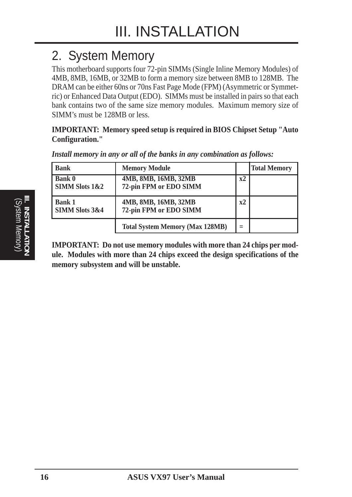## 2. System Memory

This motherboard supports four 72-pin SIMMs (Single Inline Memory Modules) of 4MB, 8MB, 16MB, or 32MB to form a memory size between 8MB to 128MB. The DRAM can be either 60ns or 70ns Fast Page Mode (FPM) (Asymmetric or Symmetric) or Enhanced Data Output (EDO). SIMMs must be installed in pairs so that each bank contains two of the same size memory modules. Maximum memory size of SIMM's must be 128MB or less.

#### **IMPORTANT: Memory speed setup is required in BIOS Chipset Setup "Auto Configuration."**

| <b>Bank</b>                                | <b>Memory Module</b>                           |    | <b>Total Memory</b> |
|--------------------------------------------|------------------------------------------------|----|---------------------|
| <b>Bank 0</b><br><b>SIMM Slots 1&amp;2</b> | 4MB, 8MB, 16MB, 32MB<br>72-pin FPM or EDO SIMM | x2 |                     |
| <b>Bank 1</b><br><b>SIMM Slots 3&amp;4</b> | 4MB, 8MB, 16MB, 32MB<br>72-pin FPM or EDO SIMM | x2 |                     |
|                                            | <b>Total System Memory (Max 128MB)</b>         |    |                     |

*Install memory in any or all of the banks in any combination as follows:*

**IMPORTANT: Do not use memory modules with more than 24 chips per module. Modules with more than 24 chips exceed the design specifications of the memory subsystem and will be unstable.**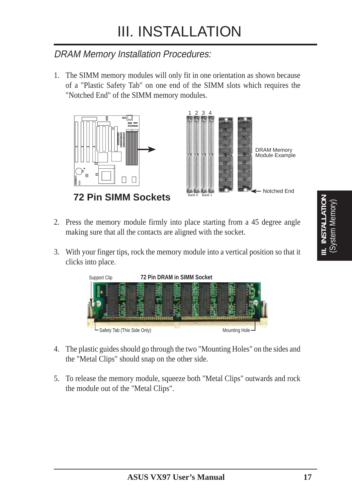### DRAM Memory Installation Procedures:

1. The SIMM memory modules will only fit in one orientation as shown because of a "Plastic Safety Tab" on one end of the SIMM slots which requires the "Notched End" of the SIMM memory modules.



- 2. Press the memory module firmly into place starting from a 45 degree angle making sure that all the contacts are aligned with the socket.
- 3. With your finger tips, rock the memory module into a vertical position so that it clicks into place.



- 4. The plastic guides should go through the two "Mounting Holes" on the sides and the "Metal Clips" should snap on the other side.
- 5. To release the memory module, squeeze both "Metal Clips" outwards and rock the module out of the "Metal Clips".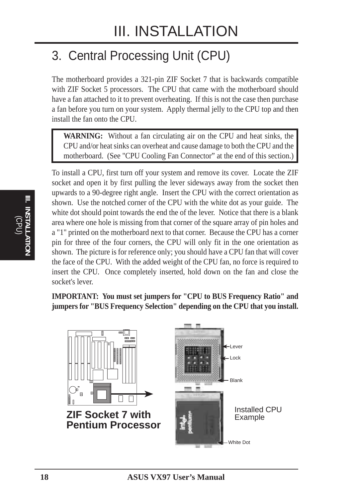## 3. Central Processing Unit (CPU)

The motherboard provides a 321-pin ZIF Socket 7 that is backwards compatible with ZIF Socket 5 processors. The CPU that came with the motherboard should have a fan attached to it to prevent overheating. If this is not the case then purchase a fan before you turn on your system. Apply thermal jelly to the CPU top and then install the fan onto the CPU.

**WARNING:** Without a fan circulating air on the CPU and heat sinks, the CPU and/or heat sinks can overheat and cause damage to both the CPU and the motherboard. (See "CPU Cooling Fan Connector" at the end of this section.)

To install a CPU, first turn off your system and remove its cover. Locate the ZIF socket and open it by first pulling the lever sideways away from the socket then upwards to a 90-degree right angle. Insert the CPU with the correct orientation as shown. Use the notched corner of the CPU with the white dot as your guide. The white dot should point towards the end the of the lever. Notice that there is a blank area where one hole is missing from that corner of the square array of pin holes and a "1" printed on the motherboard next to that corner. Because the CPU has a corner pin for three of the four corners, the CPU will only fit in the one orientation as shown. The picture is for reference only; you should have a CPU fan that will cover the face of the CPU. With the added weight of the CPU fan, no force is required to insert the CPU. Once completely inserted, hold down on the fan and close the socket's lever.

#### **IMPORTANT: You must set jumpers for "CPU to BUS Frequency Ratio" and jumpers for "BUS Frequency Selection" depending on the CPU that you install.**

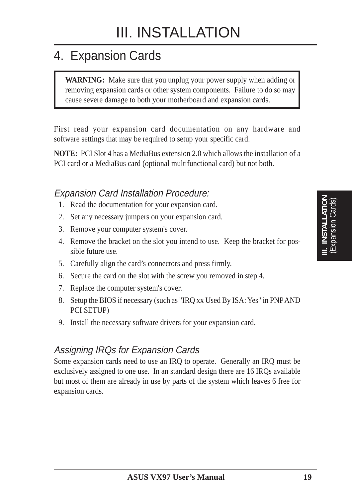## 4. Expansion Cards

**WARNING:** Make sure that you unplug your power supply when adding or removing expansion cards or other system components. Failure to do so may cause severe damage to both your motherboard and expansion cards.

First read your expansion card documentation on any hardware and software settings that may be required to setup your specific card.

**NOTE:** PCI Slot 4 has a MediaBus extension 2.0 which allows the installation of a PCI card or a MediaBus card (optional multifunctional card) but not both.

#### Expansion Card Installation Procedure:

- 1. Read the documentation for your expansion card.
- 2. Set any necessary jumpers on your expansion card.
- 3. Remove your computer system's cover.
- 4. Remove the bracket on the slot you intend to use. Keep the bracket for possible future use.
- 5. Carefully align the card's connectors and press firmly.
- 6. Secure the card on the slot with the screw you removed in step 4.
- 7. Replace the computer system's cover.
- 8. Setup the BIOS if necessary (such as "IRQ xx Used By ISA: Yes" in PNP AND PCI SETUP)
- 9. Install the necessary software drivers for your expansion card.

#### Assigning IRQs for Expansion Cards

Some expansion cards need to use an IRQ to operate. Generally an IRQ must be exclusively assigned to one use. In an standard design there are 16 IRQs available but most of them are already in use by parts of the system which leaves 6 free for expansion cards.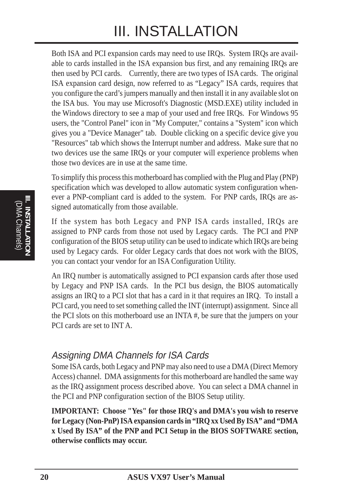## III. INSTALLATION

Both ISA and PCI expansion cards may need to use IRQs. System IRQs are available to cards installed in the ISA expansion bus first, and any remaining IRQs are then used by PCI cards. Currently, there are two types of ISA cards. The original ISA expansion card design, now referred to as "Legacy" ISA cards, requires that you configure the card's jumpers manually and then install it in any available slot on the ISA bus. You may use Microsoft's Diagnostic (MSD.EXE) utility included in the Windows directory to see a map of your used and free IRQs. For Windows 95 users, the "Control Panel" icon in "My Computer," contains a "System" icon which gives you a "Device Manager" tab. Double clicking on a specific device give you "Resources" tab which shows the Interrupt number and address. Make sure that no two devices use the same IRQs or your computer will experience problems when those two devices are in use at the same time.

To simplify this process this motherboard has complied with the Plug and Play (PNP) specification which was developed to allow automatic system configuration whenever a PNP-compliant card is added to the system. For PNP cards, IRQs are assigned automatically from those available.

If the system has both Legacy and PNP ISA cards installed, IRQs are assigned to PNP cards from those not used by Legacy cards. The PCI and PNP configuration of the BIOS setup utility can be used to indicate which IRQs are being used by Legacy cards. For older Legacy cards that does not work with the BIOS, you can contact your vendor for an ISA Configuration Utility.

An IRQ number is automatically assigned to PCI expansion cards after those used by Legacy and PNP ISA cards. In the PCI bus design, the BIOS automatically assigns an IRQ to a PCI slot that has a card in it that requires an IRQ. To install a PCI card, you need to set something called the INT (interrupt) assignment. Since all the PCI slots on this motherboard use an INTA #, be sure that the jumpers on your PCI cards are set to INT A.

#### Assigning DMA Channels for ISA Cards

Some ISA cards, both Legacy and PNP may also need to use a DMA (Direct Memory Access) channel. DMA assignments for this motherboard are handled the same way as the IRQ assignment process described above. You can select a DMA channel in the PCI and PNP configuration section of the BIOS Setup utility.

**IMPORTANT: Choose "Yes" for those IRQ's and DMA's you wish to reserve for Legacy (Non-PnP) ISA expansion cards in "IRQ xx Used By ISA" and "DMA x Used By ISA" of the PNP and PCI Setup in the BIOS SOFTWARE section, otherwise conflicts may occur.**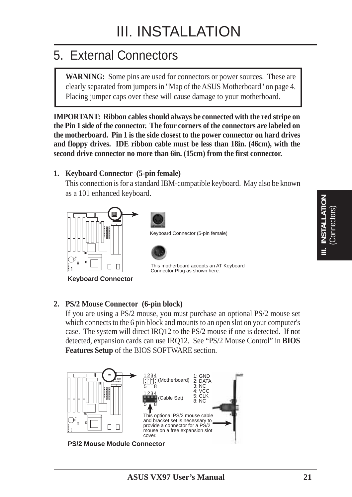## 5. External Connectors

**WARNING:** Some pins are used for connectors or power sources. These are clearly separated from jumpers in "Map of the ASUS Motherboard" on page 4. Placing jumper caps over these will cause damage to your motherboard.

**IMPORTANT: Ribbon cables should always be connected with the red stripe on the Pin 1 side of the connector. The four corners of the connectors are labeled on the motherboard. Pin 1 is the side closest to the power connector on hard drives and floppy drives. IDE ribbon cable must be less than 18in. (46cm), with the second drive connector no more than 6in. (15cm) from the first connector.**

#### **1. Keyboard Connector (5-pin female)**

This connection is for a standard IBM-compatible keyboard. May also be known as a 101 enhanced keyboard.



**Keyboard Connector**

Keyboard Connector (5-pin female)

This motherboard accepts an AT Keyboard Connector Plug as shown here.

#### **2. PS/2 Mouse Connector (6-pin block)**

If you are using a PS/2 mouse, you must purchase an optional PS/2 mouse set which connects to the 6 pin block and mounts to an open slot on your computer's case. The system will direct IRQ12 to the PS/2 mouse if one is detected. If not detected, expansion cards can use IRQ12. See "PS/2 Mouse Control" in **BIOS Features Setup** of the BIOS SOFTWARE section.

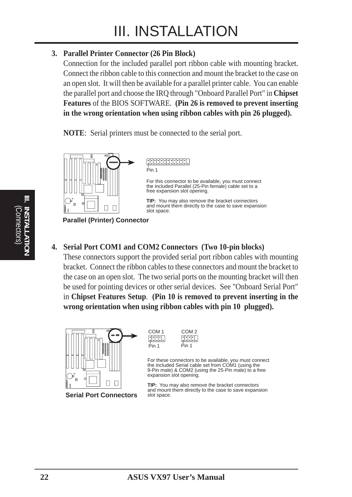#### **3. Parallel Printer Connector (26 Pin Block)**

Connection for the included parallel port ribbon cable with mounting bracket. Connect the ribbon cable to this connection and mount the bracket to the case on an open slot. It will then be available for a parallel printer cable. You can enable the parallel port and choose the IRQ through "Onboard Parallel Port" in **Chipset Features** of the BIOS SOFTWARE. **(Pin 26 is removed to prevent inserting in the wrong orientation when using ribbon cables with pin 26 plugged).**

**NOTE**: Serial printers must be connected to the serial port.



**QOOOOOOOOO** Pin 1

For this connector to be available, you must connect the included Parallel (25-Pin female) cable set to a free expansion slot opening.

**TIP:** You may also remove the bracket connectors and mount them directly to the case to save expansion slot space.

**Parallel (Printer) Connector**

#### **4. Serial Port COM1 and COM2 Connectors (Two 10-pin blocks)**

These connectors support the provided serial port ribbon cables with mounting bracket. Connect the ribbon cables to these connectors and mount the bracket to the case on an open slot. The two serial ports on the mounting bracket will then be used for pointing devices or other serial devices. See "Onboard Serial Port" in **Chipset Features Setup**. **(Pin 10 is removed to prevent inserting in the wrong orientation when using ribbon cables with pin 10 plugged).**



**Serial Port Connectors**

COM 1 COM 2  $\left[\begin{matrix} 0 \\ 0 \end{matrix}\right] \left[\begin{matrix} 0 \\ 0 \end{matrix}\right] \left[\begin{matrix} 0 \\ 0 \end{matrix}\right]$  $\begin{bmatrix} 0 \\ 0 \\ 0 \end{bmatrix}$ Pin 1 Pin 1

For these connectors to be available, you must connect the included Serial cable set from COM1 (using the 9-Pin male) & COM2 (using the 25-Pin male) to a free expansion slot opening.

**TIP:** You may also remove the bracket connectors and mount them directly to the case to save expansion slot space.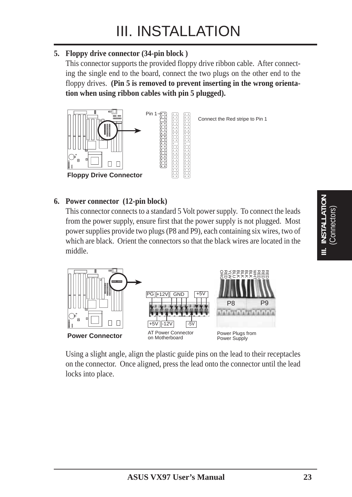#### **5. Floppy drive connector (34-pin block )**

This connector supports the provided floppy drive ribbon cable. After connecting the single end to the board, connect the two plugs on the other end to the floppy drives. **(Pin 5 is removed to prevent inserting in the wrong orientation when using ribbon cables with pin 5 plugged).**



Connect the Red stripe to Pin 1

#### **6. Power connector (12-pin block)**

This connector connects to a standard 5 Volt power supply. To connect the leads from the power supply, ensure first that the power supply is not plugged. Most power supplies provide two plugs (P8 and P9), each containing six wires, two of which are black. Orient the connectors so that the black wires are located in the middle.



Using a slight angle, align the plastic guide pins on the lead to their receptacles on the connector. Once aligned, press the lead onto the connector until the lead locks into place.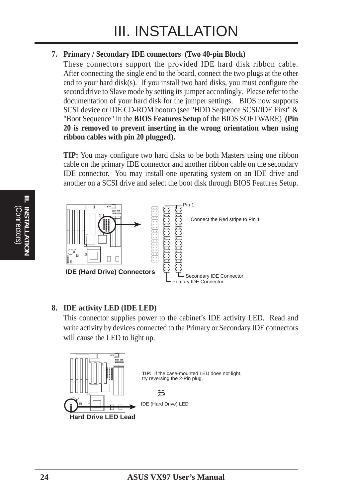#### **7. Primary / Secondary IDE connectors (Two 40-pin Block)**

These connectors support the provided IDE hard disk ribbon cable. After connecting the single end to the board, connect the two plugs at the other end to your hard disk(s). If you install two hard disks, you must configure the second drive to Slave mode by setting its jumper accordingly. Please refer to the documentation of your hard disk for the jumper settings. BIOS now supports SCSI device or IDE CD-ROM bootup (see "HDD Sequence SCSI/IDE First" & "Boot Sequence" in the **BIOS Features Setup** of the BIOS SOFTWARE) **(Pin 20 is removed to prevent inserting in the wrong orientation when using ribbon cables with pin 20 plugged).**

**TIP:** You may configure two hard disks to be both Masters using one ribbon cable on the primary IDE connector and another ribbon cable on the secondary IDE connector. You may install one operating system on an IDE drive and another on a SCSI drive and select the boot disk through BIOS Features Setup.



#### **8. IDE activity LED (IDE LED)**

This connector supplies power to the cabinet's IDE activity LED. Read and write activity by devices connected to the Primary or Secondary IDE connectors will cause the LED to light up.



**TIP:** If the case-mounted LED does not light, try reversing the 2-Pin plug.

IDE (Hard Drive) LED

 $^{\pm}$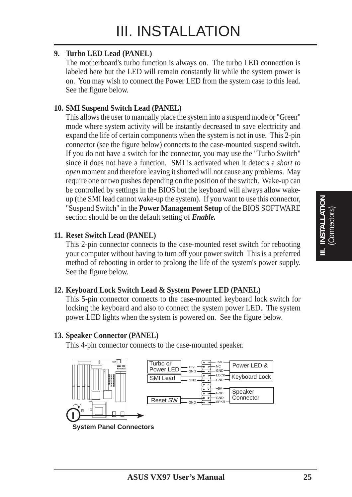#### **9. Turbo LED Lead (PANEL)**

The motherboard's turbo function is always on. The turbo LED connection is labeled here but the LED will remain constantly lit while the system power is on. You may wish to connect the Power LED from the system case to this lead. See the figure below.

#### **10. SMI Suspend Switch Lead (PANEL)**

This allows the user to manually place the system into a suspend mode or "Green" mode where system activity will be instantly decreased to save electricity and expand the life of certain components when the system is not in use. This 2-pin connector (see the figure below) connects to the case-mounted suspend switch. If you do not have a switch for the connector, you may use the "Turbo Switch" since it does not have a function. SMI is activated when it detects a *short to open* moment and therefore leaving it shorted will not cause any problems. May require one or two pushes depending on the position of the switch. Wake-up can be controlled by settings in the BIOS but the keyboard will always allow wakeup (the SMI lead cannot wake-up the system). If you want to use this connector, "Suspend Switch" in the **Power Management Setup** of the BIOS SOFTWARE section should be on the default setting of *Enable.*

#### **11. Reset Switch Lead (PANEL)**

This 2-pin connector connects to the case-mounted reset switch for rebooting your computer without having to turn off your power switch This is a preferred method of rebooting in order to prolong the life of the system's power supply. See the figure below.

#### **12. Keyboard Lock Switch Lead & System Power LED (PANEL)**

This 5-pin connector connects to the case-mounted keyboard lock switch for locking the keyboard and also to connect the system power LED. The system power LED lights when the system is powered on. See the figure below.

#### **13. Speaker Connector (PANEL)**

This 4-pin connector connects to the case-mounted speaker.





**System Panel Connectors**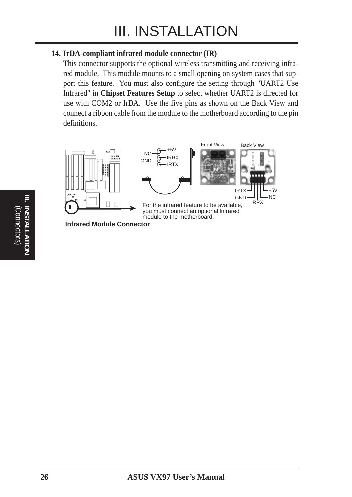#### **14. IrDA-compliant infrared module connector (IR)**

This connector supports the optional wireless transmitting and receiving infrared module. This module mounts to a small opening on system cases that support this feature. You must also configure the setting through "UART2 Use Infrared" in **Chipset Features Setup** to select whether UART2 is directed for use with COM2 or IrDA. Use the five pins as shown on the Back View and connect a ribbon cable from the module to the motherboard according to the pin definitions.



**Infrared Module Connector**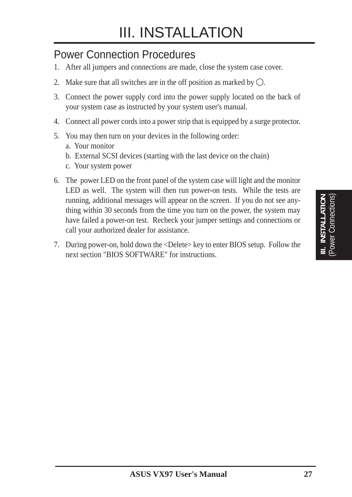### Power Connection Procedures

- 1. After all jumpers and connections are made, close the system case cover.
- 2. Make sure that all switches are in the off position as marked by  $\bigcirc$ .
- 3. Connect the power supply cord into the power supply located on the back of your system case as instructed by your system user's manual.
- 4. Connect all power cords into a power strip that is equipped by a surge protector.
- 5. You may then turn on your devices in the following order:
	- a. Your monitor
	- b. External SCSI devices (starting with the last device on the chain)
	- c. Your system power
- 6. The power LED on the front panel of the system case will light and the monitor LED as well. The system will then run power-on tests. While the tests are running, additional messages will appear on the screen. If you do not see anything within 30 seconds from the time you turn on the power, the system may have failed a power-on test. Recheck your jumper settings and connections or call your authorized dealer for assistance.
- 7. During power-on, hold down the <Delete> key to enter BIOS setup. Follow the next section "BIOS SOFTWARE" for instructions.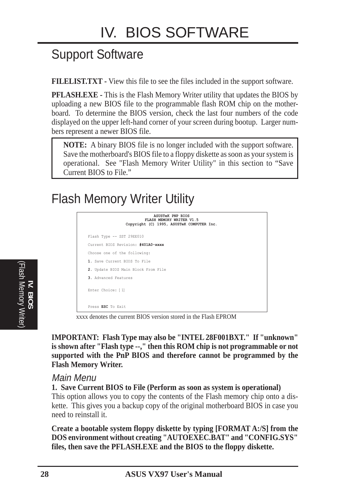## IV. BIOS SOFTWARE

## Support Software

**FILELIST.TXT -** View this file to see the files included in the support software.

**PFLASH.EXE -** This is the Flash Memory Writer utility that updates the BIOS by uploading a new BIOS file to the programmable flash ROM chip on the motherboard. To determine the BIOS version, check the last four numbers of the code displayed on the upper left-hand corner of your screen during bootup. Larger numbers represent a newer BIOS file.

**NOTE:** A binary BIOS file is no longer included with the support software. Save the motherboard's BIOS file to a floppy diskette as soon as your system is operational. See "Flash Memory Writer Utility" in this section to "Save Current BIOS to File."

## Flash Memory Writer Utility

| <b>ASUSTeK PNP BIOS</b><br>FLASH MEMORY WRITER V1.5<br>Copyright (C) 1995, ASUSTeK COMPUTER Inc. |
|--------------------------------------------------------------------------------------------------|
| Flash Type -- SST 29EE010                                                                        |
| Current BIOS Revision: #401A0-xxxx                                                               |
| Choose one of the following:                                                                     |
| 1. Save Current BIOS To File                                                                     |
| 2. Update BIOS Main Block From File                                                              |
| 3. Advanced Features                                                                             |
| Enter Choice: [1]                                                                                |
| Press ESC To Exit                                                                                |

xxxx denotes the current BIOS version stored in the Flash EPROM

**IMPORTANT: Flash Type may also be "INTEL 28F001BXT." If "unknown" is shown after "Flash type --," then this ROM chip is not programmable or not supported with the PnP BIOS and therefore cannot be programmed by the Flash Memory Writer.**

#### Main Menu

**1. Save Current BIOS to File (Perform as soon as system is operational)** This option allows you to copy the contents of the Flash memory chip onto a diskette. This gives you a backup copy of the original motherboard BIOS in case you need to reinstall it.

**Create a bootable system floppy diskette by typing [FORMAT A:/S] from the DOS environment without creating "AUTOEXEC.BAT" and "CONFIG.SYS" files, then save the PFLASH.EXE and the BIOS to the floppy diskette.**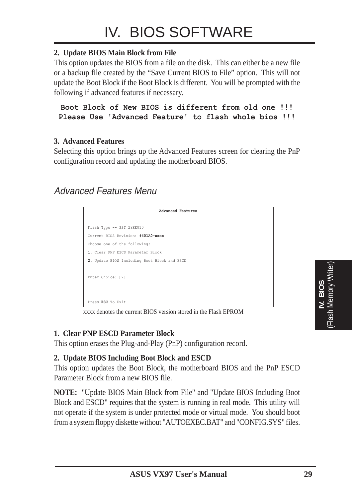#### **2. Update BIOS Main Block from File**

This option updates the BIOS from a file on the disk. This can either be a new file or a backup file created by the "Save Current BIOS to File" option. This will not update the Boot Block if the Boot Block is different. You will be prompted with the following if advanced features if necessary.

```
Boot Block of New BIOS is different from old one !!!
Please Use 'Advanced Feature' to flash whole bios !!!
```
#### **3. Advanced Features**

Selecting this option brings up the Advanced Features screen for clearing the PnP configuration record and updating the motherboard BIOS.

#### Advanced Features Menu

| Advanced Features                            |
|----------------------------------------------|
|                                              |
| Flash Type -- SST 29EE010                    |
| Current BIOS Revision: #401A0-xxxx           |
| Choose one of the following:                 |
| 1. Clear PNP ESCD Parameter Block            |
| 2. Update BIOS Including Boot Block and ESCD |
|                                              |
| Enter Choice: [2]                            |
|                                              |
|                                              |
| Press ESC To Exit                            |

xxxx denotes the current BIOS version stored in the Flash EPROM

#### **1. Clear PNP ESCD Parameter Block**

This option erases the Plug-and-Play (PnP) configuration record.

#### **2. Update BIOS Including Boot Block and ESCD**

This option updates the Boot Block, the motherboard BIOS and the PnP ESCD Parameter Block from a new BIOS file.

**NOTE:** "Update BIOS Main Block from File" and "Update BIOS Including Boot Block and ESCD" requires that the system is running in real mode. This utility will not operate if the system is under protected mode or virtual mode. You should boot from a system floppy diskette without "AUTOEXEC.BAT" and "CONFIG.SYS" files.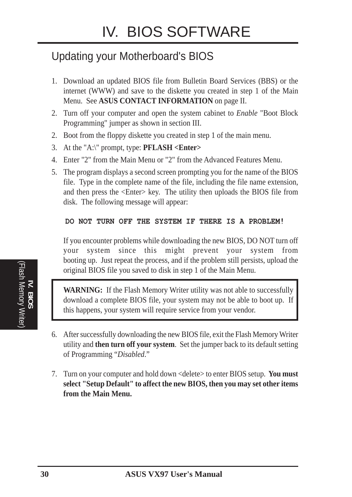## Updating your Motherboard's BIOS

- 1. Download an updated BIOS file from Bulletin Board Services (BBS) or the internet (WWW) and save to the diskette you created in step 1 of the Main Menu. See **ASUS CONTACT INFORMATION** on page II.
- 2. Turn off your computer and open the system cabinet to *Enable* "Boot Block Programming" jumper as shown in section III.
- 2. Boot from the floppy diskette you created in step 1 of the main menu.
- 3. At the "A:\" prompt, type: **PFLASH <Enter>**
- 4. Enter "2" from the Main Menu or "2" from the Advanced Features Menu.
- 5. The program displays a second screen prompting you for the name of the BIOS file. Type in the complete name of the file, including the file name extension, and then press the <Enter> key. The utility then uploads the BIOS file from disk. The following message will appear:

#### **DO NOT TURN OFF THE SYSTEM IF THERE IS A PROBLEM!**

If you encounter problems while downloading the new BIOS, DO NOT turn off your system since this might prevent your system from booting up. Just repeat the process, and if the problem still persists, upload the original BIOS file you saved to disk in step 1 of the Main Menu.

**WARNING:** If the Flash Memory Writer utility was not able to successfully download a complete BIOS file, your system may not be able to boot up. If this happens, your system will require service from your vendor.

- 6. After successfully downloading the new BIOS file, exit the Flash Memory Writer utility and **then turn off your system**. Set the jumper back to its default setting of Programming "*Disabled*."
- 7. Turn on your computer and hold down <delete> to enter BIOS setup. **You must select "Setup Default" to affect the new BIOS, then you may set other items from the Main Menu.**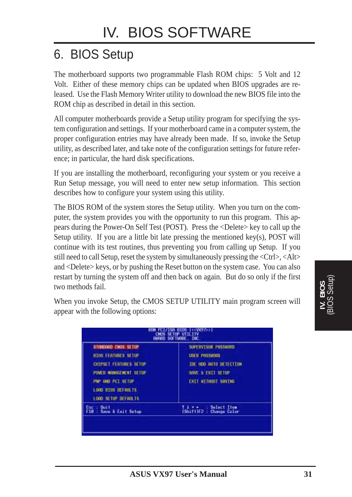## 6. BIOS Setup

The motherboard supports two programmable Flash ROM chips: 5 Volt and 12 Volt. Either of these memory chips can be updated when BIOS upgrades are released. Use the Flash Memory Writer utility to download the new BIOS file into the ROM chip as described in detail in this section.

All computer motherboards provide a Setup utility program for specifying the system configuration and settings. If your motherboard came in a computer system, the proper configuration entries may have already been made. If so, invoke the Setup utility, as described later, and take note of the configuration settings for future reference; in particular, the hard disk specifications.

If you are installing the motherboard, reconfiguring your system or you receive a Run Setup message, you will need to enter new setup information. This section describes how to configure your system using this utility.

The BIOS ROM of the system stores the Setup utility. When you turn on the computer, the system provides you with the opportunity to run this program. This appears during the Power-On Self Test (POST). Press the <Delete> key to call up the Setup utility. If you are a little bit late pressing the mentioned key(s), POST will continue with its test routines, thus preventing you from calling up Setup. If you still need to call Setup, reset the system by simultaneously pressing the  $\langle \text{Ctrl} \rangle$ ,  $\langle \text{Alt} \rangle$ and <Delete> keys, or by pushing the Reset button on the system case. You can also restart by turning the system off and then back on again. But do so only if the first two methods fail.

When you invoke Setup, the CMOS SETUP UTILITY main program screen will appear with the following options:

| <b>810S FEATURES SETUP</b><br>CHIPSET FEATURES SETUP<br><b>POWER NRNAGENENT SETUP</b><br>FMP TIMO PCT SETUP<br>LOAD 810S DEFAULTS | <b>USER PRSSHORD</b><br>THE HOD AUTO DETECTION<br>SAVE & EXIT SETUP<br>EXTT VITHOUT SAVING |
|-----------------------------------------------------------------------------------------------------------------------------------|--------------------------------------------------------------------------------------------|
| LOOD SETUP DEFIULTS<br><b>Ouit</b><br>Save & Exit Setup                                                                           | <b>Select Item</b><br>(Shift)F2 : Change Color                                             |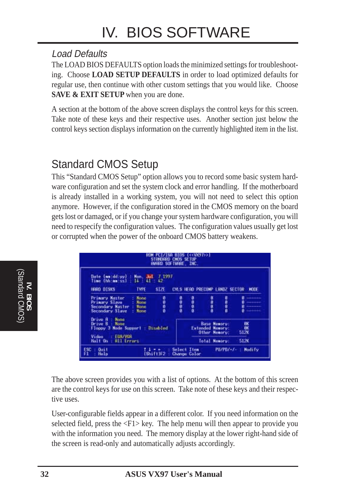#### Load Defaults

The LOAD BIOS DEFAULTS option loads the minimized settings for troubleshooting. Choose **LOAD SETUP DEFAULTS** in order to load optimized defaults for regular use, then continue with other custom settings that you would like. Choose **SAVE & EXIT SETUP** when you are done.

A section at the bottom of the above screen displays the control keys for this screen. Take note of these keys and their respective uses. Another section just below the control keys section displays information on the currently highlighted item in the list.

### Standard CMOS Setup

This "Standard CMOS Setup" option allows you to record some basic system hardware configuration and set the system clock and error handling. If the motherboard is already installed in a working system, you will not need to select this option anymore. However, if the configuration stored in the CMOS memory on the board gets lost or damaged, or if you change your system hardware configuration, you will need to respecify the configuration values. The configuration values usually get lost or corrupted when the power of the onboard CMOS battery weakens.

|                                                                                                                                           | STANDARD CHOS SETUP<br>AWARD SOFTWARE, INC. |                             | <b>BIOS (<cvk97>&gt;)</cvk97></b>        |                     |                       |
|-------------------------------------------------------------------------------------------------------------------------------------------|---------------------------------------------|-----------------------------|------------------------------------------|---------------------|-----------------------|
| Date (mm:dd:yy) : Mon. Jul 7 1997<br>Time (hh:mm:ss) : 14 : 41 : 42<br>$\bullet$<br><b>HERD DISKS</b><br><b>TYPE</b><br><b>SIZE</b>       |                                             |                             | CYLS HEAD PRECOMP LANDZ SECTOR           |                     | <b>MDDE</b>           |
| 888<br><b>Primary Master</b><br>None<br><b>Primury Slave</b><br><b>Nonu</b><br>Secondary Master<br><b>None</b><br>Secondary Slave<br>None | ,,,,                                        | 0000                        | 电影射曲                                     | 机电导机                |                       |
| Drive A : None<br>Drive B. : None<br><b>Disabled</b><br>Floppy 3 Mode Support                                                             |                                             |                             | <b>Extended Newary:</b><br>Other Memory: | <b>Base Newprus</b> | 談<br>512K             |
| Video<br><b>EGA/VGA</b><br><b>All Frrars</b><br>Halt On                                                                                   |                                             |                             |                                          | Total Memory:       | 512K                  |
| Ouit<br>ES0<br>Shift)F2<br>Help<br>F1                                                                                                     |                                             | Select Item<br>Change Color |                                          |                     | PU/PD/+/- :<br>Modify |

The above screen provides you with a list of options. At the bottom of this screen are the control keys for use on this screen. Take note of these keys and their respective uses.

User-configurable fields appear in a different color. If you need information on the selected field, press the  $\langle F1 \rangle$  key. The help menu will then appear to provide you with the information you need. The memory display at the lower right-hand side of the screen is read-only and automatically adjusts accordingly.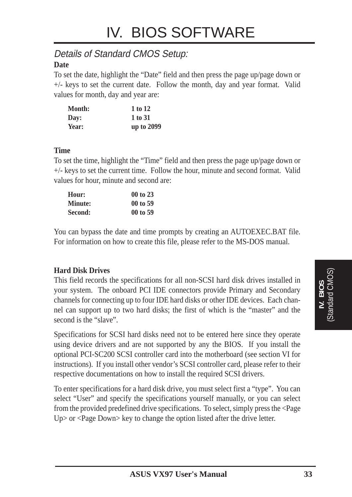#### Details of Standard CMOS Setup:

#### **Date**

To set the date, highlight the "Date" field and then press the page up/page down or +/- keys to set the current date. Follow the month, day and year format. Valid values for month, day and year are:

| <b>Month:</b> | 1 to 12    |
|---------------|------------|
| Day:          | 1 to 31    |
| Year:         | up to 2099 |

#### **Time**

To set the time, highlight the "Time" field and then press the page up/page down or +/- keys to set the current time. Follow the hour, minute and second format. Valid values for hour, minute and second are:

| Hour:          | 00 to 23 |
|----------------|----------|
| <b>Minute:</b> | 00 to 59 |
| Second:        | 00 to 59 |

You can bypass the date and time prompts by creating an AUTOEXEC.BAT file. For information on how to create this file, please refer to the MS-DOS manual.

#### **Hard Disk Drives**

This field records the specifications for all non-SCSI hard disk drives installed in your system. The onboard PCI IDE connectors provide Primary and Secondary channels for connecting up to four IDE hard disks or other IDE devices. Each channel can support up to two hard disks; the first of which is the "master" and the second is the "slave".

Specifications for SCSI hard disks need not to be entered here since they operate using device drivers and are not supported by any the BIOS. If you install the optional PCI-SC200 SCSI controller card into the motherboard (see section VI for instructions). If you install other vendor's SCSI controller card, please refer to their respective documentations on how to install the required SCSI drivers.

To enter specifications for a hard disk drive, you must select first a "type". You can select "User" and specify the specifications yourself manually, or you can select from the provided predefined drive specifications. To select, simply press the <Page Up is or  $\langle$  Page Down  $>$  key to change the option listed after the drive letter.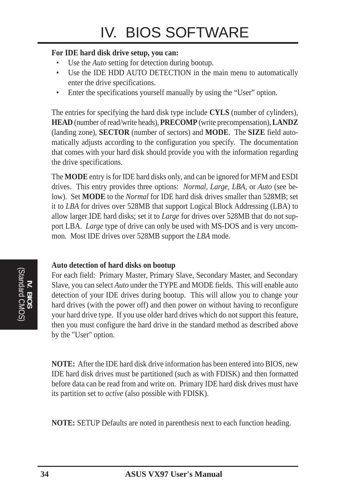#### **For IDE hard disk drive setup, you can:**

- Use the *Auto* setting for detection during bootup.
- Use the IDE HDD AUTO DETECTION in the main menu to automatically enter the drive specifications.
- Enter the specifications yourself manually by using the "User" option.

The entries for specifying the hard disk type include **CYLS** (number of cylinders), **HEAD** (number of read/write heads), **PRECOMP** (write precompensation), **LANDZ** (landing zone), **SECTOR** (number of sectors) and **MODE**. The **SIZE** field automatically adjusts according to the configuration you specify. The documentation that comes with your hard disk should provide you with the information regarding the drive specifications.

The **MODE** entry is for IDE hard disks only, and can be ignored for MFM and ESDI drives. This entry provides three options: *Normal, Large, LBA*, or *Auto* (see below). Set **MODE** to the *Normal* for IDE hard disk drives smaller than 528MB; set it to *LBA* for drives over 528MB that support Logical Block Addressing (LBA) to allow larger IDE hard disks; set it to *Large* for drives over 528MB that do not support LBA. *Large* type of drive can only be used with MS-DOS and is very uncommon. Most IDE drives over 528MB support the *LBA* mode.

#### **Auto detection of hard disks on bootup**

For each field: Primary Master, Primary Slave, Secondary Master, and Secondary Slave, you can select *Auto* under the TYPE and MODE fields. This will enable auto detection of your IDE drives during bootup. This will allow you to change your hard drives (with the power off) and then power on without having to reconfigure your hard drive type. If you use older hard drives which do not support this feature, then you must configure the hard drive in the standard method as described above by the "User" option.

**NOTE:** After the IDE hard disk drive information has been entered into BIOS, new IDE hard disk drives must be partitioned (such as with FDISK) and then formatted before data can be read from and write on. Primary IDE hard disk drives must have its partition set to *active* (also possible with FDISK).

**NOTE:** SETUP Defaults are noted in parenthesis next to each function heading.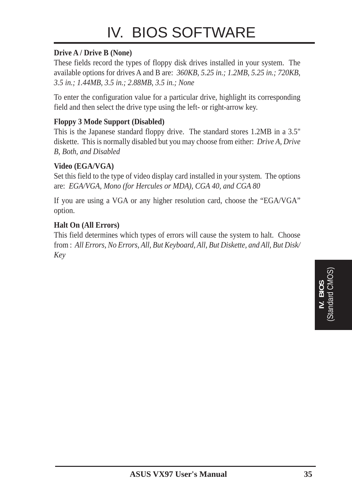## IV. BIOS SOFTWARE

#### **Drive A / Drive B (None)**

These fields record the types of floppy disk drives installed in your system. The available options for drives A and B are: *360KB, 5.25 in.; 1.2MB, 5.25 in.; 720KB, 3.5 in.; 1.44MB, 3.5 in.; 2.88MB, 3.5 in.; None*

To enter the configuration value for a particular drive, highlight its corresponding field and then select the drive type using the left- or right-arrow key.

#### **Floppy 3 Mode Support (Disabled)**

This is the Japanese standard floppy drive. The standard stores 1.2MB in a 3.5" diskette. This is normally disabled but you may choose from either: *Drive A, Drive B, Both, and Disabled*

#### **Video (EGA/VGA)**

Set this field to the type of video display card installed in your system. The options are: *EGA/VGA, Mono (for Hercules or MDA), CGA 40, and CGA 80*

If you are using a VGA or any higher resolution card, choose the "EGA/VGA" option.

#### **Halt On (All Errors)**

This field determines which types of errors will cause the system to halt. Choose from : *All Errors, No Errors, All, But Keyboard, All, But Diskette, and All, But Disk/ Key*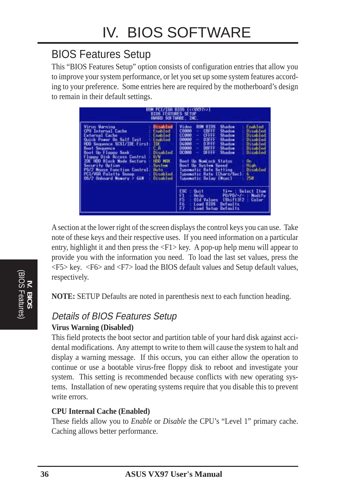## BIOS Features Setup

This "BIOS Features Setup" option consists of configuration entries that allow you to improve your system performance, or let you set up some system features according to your preference. Some entries here are required by the motherboard's design to remain in their default settings.

|                                                                                                                                                                                                                                                                                                                                                                                   | BIOS FEATURES SETUP                                                                                                                            | HOM PCI/ISA BIOS (< <vk97>&gt;)<br/>AWARD SOFTWARE, INC.</vk97>                                                                                                                                                                                                                                                                                                                                                                                                                                                                                                                                                                                                                                                                                          |
|-----------------------------------------------------------------------------------------------------------------------------------------------------------------------------------------------------------------------------------------------------------------------------------------------------------------------------------------------------------------------------------|------------------------------------------------------------------------------------------------------------------------------------------------|----------------------------------------------------------------------------------------------------------------------------------------------------------------------------------------------------------------------------------------------------------------------------------------------------------------------------------------------------------------------------------------------------------------------------------------------------------------------------------------------------------------------------------------------------------------------------------------------------------------------------------------------------------------------------------------------------------------------------------------------------------|
| Virus Warning<br>CPU Internal Cache<br>ı<br><b>External Cache</b><br>ı<br><b>Suick Power On Salf Test</b><br>HDD Sequence SCSI/IDE First<br><b>Boot Sequence</b><br>Boot to Floppy Seek<br>Floppy Disk Recess Control<br><b>IDE HOD Block Mode Sectors</b><br>Security Option<br><b>PS/2 Mouse Function Control:</b><br><b>PCI/VGR Palette Snoop</b><br>05/2 Onboard Namory 2 64M | Disabled<br>Enabled<br>Enabled<br>mabled<br>ПÆ<br>C.R.<br>Disabled<br><b>R/M</b><br>HDD MEDE<br>Sustem:<br><b>Huto</b><br>Disabled<br>Disabled | <b>RON BIOS</b><br>Video<br>Shadow<br>Enabled<br>C8008<br>CBLEE<br><b>Shadow</b><br>Disabled<br><b>CFFFF</b><br>00000<br><b>Shadow</b><br>Disabled<br>۰<br>D3FFF<br>созаа<br>Shadow<br>Disabled<br>$\rightarrow$<br><b>DARNIE</b><br>DATE<br>Shadow<br><b>Disabled</b><br>÷<br>08000<br>DBITT<br><b>Shadow</b><br>Disabled<br>DC880<br>DEEFE<br>Disabled<br>Shadow<br><b>Boot Up NumLock Status</b><br>Un.<br><b>High</b><br><b>Boot Up System Speed</b><br>Typematic Rate Setting<br>Disabled<br>Typematic Rate (Chars/Sec)<br>250<br>Ivoematic Delay (Msec)<br>ESC<br>Time : Select Item<br>Ouit.<br>Fl<br>PU/PD/+/+  <br>Help<br>Modify<br>F5<br>(ShitE)E2<br><b>Old Values</b><br>Color<br>56<br>Lond BIOS<br>Defaults.<br>F7<br>Load Setup Defaults |

A section at the lower right of the screen displays the control keys you can use. Take note of these keys and their respective uses. If you need information on a particular entry, highlight it and then press the <F1> key. A pop-up help menu will appear to provide you with the information you need. To load the last set values, press the <F5> key. <F6> and <F7> load the BIOS default values and Setup default values, respectively.

**NOTE:** SETUP Defaults are noted in parenthesis next to each function heading.

### Details of BIOS Features Setup

#### **Virus Warning (Disabled)**

This field protects the boot sector and partition table of your hard disk against accidental modifications. Any attempt to write to them will cause the system to halt and display a warning message. If this occurs, you can either allow the operation to continue or use a bootable virus-free floppy disk to reboot and investigate your system. This setting is recommended because conflicts with new operating systems. Installation of new operating systems require that you disable this to prevent write errors.

#### **CPU Internal Cache (Enabled)**

These fields allow you to *Enable* or *Disable* the CPU's "Level 1" primary cache. Caching allows better performance.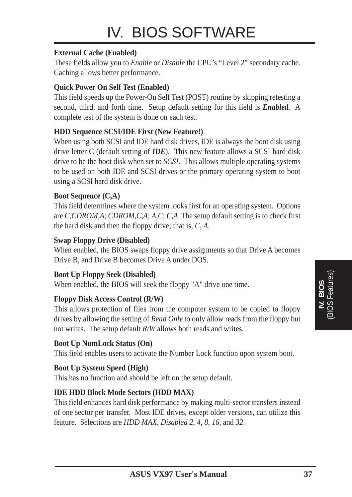#### **External Cache (Enabled)**

These fields allow you to *Enable* or *Disable* the CPU's "Level 2" secondary cache. Caching allows better performance.

#### **Quick Power On Self Test (Enabled)**

This field speeds up the Power-On Self Test (POST) routine by skipping retesting a second, third, and forth time. Setup default setting for this field is *Enabled*. A complete test of the system is done on each test.

#### **HDD Sequence SCSI/IDE First (New Feature!)**

When using both SCSI and IDE hard disk drives, IDE is always the boot disk using drive letter C (default setting of *IDE*). This new feature allows a SCSI hard disk drive to be the boot disk when set to *SCSI*. This allows multiple operating systems to be used on both IDE and SCSI drives or the primary operating system to boot using a SCSI hard disk drive.

#### **Boot Sequence (C,A)**

This field determines where the system looks first for an operating system. Options are *C,CDROM,A*; *CDROM,C,A*; *A,C*; *C,A* The setup default setting is to check first the hard disk and then the floppy drive; that is, *C, A*.

#### **Swap Floppy Drive (Disabled)**

When enabled, the BIOS swaps floppy drive assignments so that Drive A becomes Drive B, and Drive B becomes Drive A under DOS.

#### **Boot Up Floppy Seek (Disabled)**

When enabled, the BIOS will seek the floppy "A" drive one time.

#### **Floppy Disk Access Control (R/W)**

This allows protection of files from the computer system to be copied to floppy drives by allowing the setting of *Read Only* to only allow reads from the floppy but not writes. The setup default *R/W* allows both reads and writes.

#### **Boot Up NumLock Status (On)**

This field enables users to activate the Number Lock function upon system boot.

#### **Boot Up System Speed (High)**

This has no function and should be left on the setup default.

#### **IDE HDD Block Mode Sectors (HDD MAX)**

This field enhances hard disk performance by making multi-sector transfers instead of one sector per transfer. Most IDE drives, except older versions, can utilize this feature. Selections are *HDD MAX, Disabled 2, 4, 8, 16,* and *32*.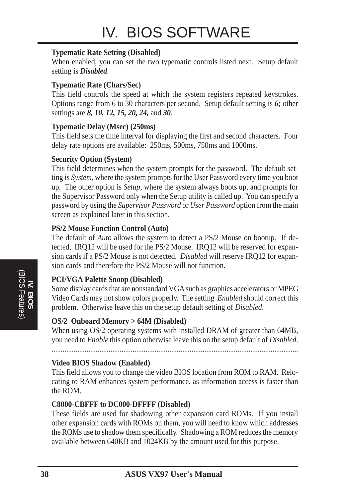#### **Typematic Rate Setting (Disabled)**

When enabled, you can set the two typematic controls listed next. Setup default setting is *Disabled*.

#### **Typematic Rate (Chars/Sec)**

This field controls the speed at which the system registers repeated keystrokes. Options range from 6 to 30 characters per second. Setup default setting is *6;* other settings are *8, 10, 12, 15, 20, 24,* and *30*.

#### **Typematic Delay (Msec) (250ms)**

This field sets the time interval for displaying the first and second characters. Four delay rate options are available: 250ms, 500ms, 750ms and 1000ms.

#### **Security Option (System)**

This field determines when the system prompts for the password. The default setting is *System*, where the system prompts for the User Password every time you boot up. The other option is *Setup*, where the system always boots up, and prompts for the Supervisor Password only when the Setup utility is called up. You can specify a password by using the *Supervisor Password* or *User Password* option from the main screen as explained later in this section.

#### **PS/2 Mouse Function Control (Auto)**

The default of *Auto* allows the system to detect a PS/2 Mouse on bootup. If detected, IRQ12 will be used for the PS/2 Mouse. IRQ12 will be reserved for expansion cards if a PS/2 Mouse is not detected. *Disabled* will reserve IRQ12 for expansion cards and therefore the PS/2 Mouse will not function.

#### **PCI/VGA Palette Snoop (Disabled)**

Some display cards that are nonstandard VGA such as graphics accelerators or MPEG Video Cards may not show colors properly. The setting *Enabled* should correct this problem. Otherwise leave this on the setup default setting of *Disabled*.

#### **OS/2 Onboard Memory > 64M (Disabled)**

When using OS/2 operating systems with installed DRAM of greater than 64MB, you need to *Enable* this option otherwise leave this on the setup default of *Disabled*. ......................................................................................................................................

#### **Video BIOS Shadow (Enabled)**

This field allows you to change the video BIOS location from ROM to RAM. Relocating to RAM enhances system performance, as information access is faster than the ROM.

#### **C8000-CBFFF to DC000-DFFFF (Disabled)**

These fields are used for shadowing other expansion card ROMs. If you install other expansion cards with ROMs on them, you will need to know which addresses the ROMs use to shadow them specifically. Shadowing a ROM reduces the memory available between 640KB and 1024KB by the amount used for this purpose.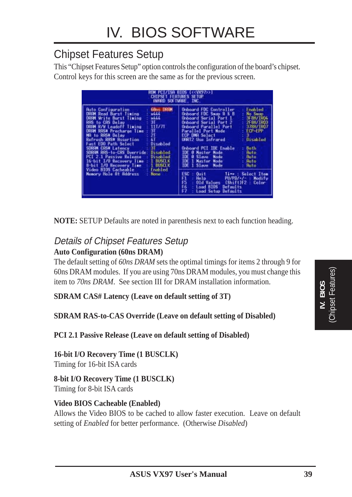## Chipset Features Setup

This "Chipset Features Setup" option controls the configuration of the board's chipset. Control keys for this screen are the same as for the previous screen.

|                                                                                                                                                                                                                                                                                                                                                                                                                                                                                                                                                                       | <b>RIGS (CCARTING)</b><br>CHIPSET FEATURES SETUP<br>AWARD SOFTWARE, INC.                                                                                                                                                                                                                                                                                                                                                                                                                                                                                        |
|-----------------------------------------------------------------------------------------------------------------------------------------------------------------------------------------------------------------------------------------------------------------------------------------------------------------------------------------------------------------------------------------------------------------------------------------------------------------------------------------------------------------------------------------------------------------------|-----------------------------------------------------------------------------------------------------------------------------------------------------------------------------------------------------------------------------------------------------------------------------------------------------------------------------------------------------------------------------------------------------------------------------------------------------------------------------------------------------------------------------------------------------------------|
| <b>68ns DRIM</b><br><b>Buto Configuration</b><br>DRAM Read Burst Timing<br>udda<br>maa<br><b>DREM Write Burst Timing</b><br>31.<br>ROS to CAS Delay<br>шл<br>DREW R/W Leadoff Timing<br>31<br>DRSM RASH Precharge Time<br>21<br><b>MA to RASK Delay</b><br>Refresh RASA Assertion<br><b>Fast EDD Path Select</b><br>Disabled<br><b>SDRAW CASK Latency</b><br>SDRAM RRS-to-CRS Dverride:<br>Disabled<br>PCI 2.1 Passive Release<br>Disabled<br>16-bit I/O Recovery lime<br><b>T BUSELK</b><br>8-bit I/O Recovery Time<br>+ 1 BISCLK<br>Video BIOS Cacheable<br>Enabled | <b>Onboard FDC Controller</b><br>Enabled<br><b>Onboard FDC Swap R B B</b><br>No. Sarep<br><b>FRH/TROA</b><br><b>Onboard Serial Port 1</b><br>Onboard Serial Part 2<br><b>JFBN/TRUC</b><br><b>378N/TROT</b><br>Onboard Parallel Port<br><b>ECP-EPP</b><br><b>Parallel Port Mode</b><br>ā<br>ECP DMR Select<br>UERT2 Use: Infrared<br><b>Bisabled</b><br><b>Onboard PCI IDE Enable</b><br>Both.<br><b>IDE 0 Master Mode</b><br><b>Buto</b><br><b>IDE O Slave Mode</b><br><b>Buto</b><br>÷<br>Master Mode<br>ID€<br><b>Huto</b><br>TDE 1 Slave Mode<br><b>Huto</b> |
| Momory Hole At Address<br>None:                                                                                                                                                                                                                                                                                                                                                                                                                                                                                                                                       | ESC<br>Time : Select Item<br>$0$ uit<br>Ð<br>PU/PO/+/- Modify<br>Help.<br>F5<br>$(ShitE)E2 +$<br>Old Values<br>Color<br>56<br>Lond BIOS<br>Defaults.<br>F7<br>Lond Setup Defaults                                                                                                                                                                                                                                                                                                                                                                               |

**NOTE:** SETUP Defaults are noted in parenthesis next to each function heading.

#### Details of Chipset Features Setup **Auto Configuration (60ns DRAM)**

The default setting of *60ns DRAM* sets the optimal timings for items 2 through 9 for 60ns DRAM modules. If you are using 70ns DRAM modules, you must change this item to *70ns DRAM*. See section III for DRAM installation information.

**SDRAM CAS# Latency (Leave on default setting of 3T)**

**SDRAM RAS-to-CAS Override (Leave on default setting of Disabled)**

**PCI 2.1 Passive Release (Leave on default setting of Disabled)**

**16-bit I/O Recovery Time (1 BUSCLK)** Timing for 16-bit ISA cards

**8-bit I/O Recovery Time (1 BUSCLK)** Timing for 8-bit ISA cards

#### **Video BIOS Cacheable (Enabled)**

Allows the Video BIOS to be cached to allow faster execution. Leave on default setting of *Enabled* for better performance. (Otherwise *Disabled*)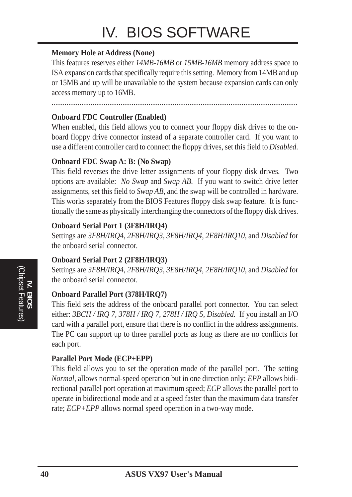## IV. BIOS SOFTWARE

#### **Memory Hole at Address (None)**

This features reserves either *14MB-16MB* or *15MB-16MB* memory address space to ISA expansion cards that specifically require this setting. Memory from 14MB and up or 15MB and up will be unavailable to the system because expansion cards can only access memory up to 16MB.

....................................................................................................................................

#### **Onboard FDC Controller (Enabled)**

When enabled, this field allows you to connect your floppy disk drives to the onboard floppy drive connector instead of a separate controller card. If you want to use a different controller card to connect the floppy drives, set this field to *Disabled*.

#### **Onboard FDC Swap A: B: (No Swap)**

This field reverses the drive letter assignments of your floppy disk drives. Two options are available: *No Swap* and *Swap AB*. If you want to switch drive letter assignments, set this field to *Swap AB*, and the swap will be controlled in hardware. This works separately from the BIOS Features floppy disk swap feature. It is functionally the same as physically interchanging the connectors of the floppy disk drives.

#### **Onboard Serial Port 1 (3F8H/IRQ4)**

Settings are *3F8H/IRQ4*, *2F8H/IRQ3, 3E8H/IRQ4, 2E8H/IRQ10,* and *Disabled* for the onboard serial connector.

#### **Onboard Serial Port 2 (2F8H/IRQ3)**

Settings are *3F8H/IRQ4, 2F8H/IRQ3*, *3E8H/IRQ4, 2E8H/IRQ10,* and *Disabled* for the onboard serial connector.

#### **Onboard Parallel Port (378H/IRQ7)**

This field sets the address of the onboard parallel port connector. You can select either: *3BCH / IRQ 7, 378H / IRQ 7, 278H / IRQ 5, Disabled.* If you install an I/O card with a parallel port, ensure that there is no conflict in the address assignments. The PC can support up to three parallel ports as long as there are no conflicts for each port.

#### **Parallel Port Mode (ECP+EPP)**

This field allows you to set the operation mode of the parallel port. The setting *Normal*, allows normal-speed operation but in one direction only; *EPP* allows bidirectional parallel port operation at maximum speed; *ECP* allows the parallel port to operate in bidirectional mode and at a speed faster than the maximum data transfer rate; *ECP+EPP* allows normal speed operation in a two-way mode.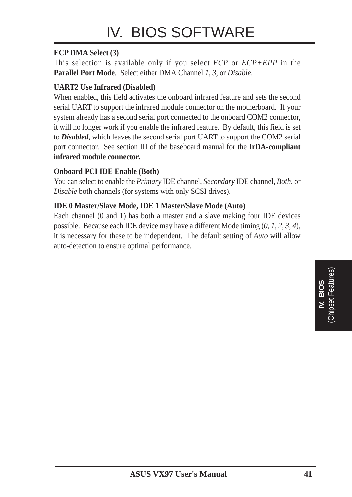#### **ECP DMA Select (3)**

This selection is available only if you select *ECP* or *ECP+EPP* in the **Parallel Port Mode**. Select either DMA Channel *1, 3*, or *Disable*.

#### **UART2 Use Infrared (Disabled)**

When enabled, this field activates the onboard infrared feature and sets the second serial UART to support the infrared module connector on the motherboard. If your system already has a second serial port connected to the onboard COM2 connector, it will no longer work if you enable the infrared feature. By default, this field is set to *Disabled*, which leaves the second serial port UART to support the COM2 serial port connector. See section III of the baseboard manual for the **IrDA-compliant infrared module connector.**

#### **Onboard PCI IDE Enable (Both)**

You can select to enable the *Primary* IDE channel, *Secondary* IDE channel, *Both*, or *Disable* both channels (for systems with only SCSI drives).

#### **IDE 0 Master/Slave Mode, IDE 1 Master/Slave Mode (Auto)**

Each channel (0 and 1) has both a master and a slave making four IDE devices possible. Because each IDE device may have a different Mode timing (*0, 1, 2, 3, 4*), it is necessary for these to be independent. The default setting of *Auto* will allow auto-detection to ensure optimal performance.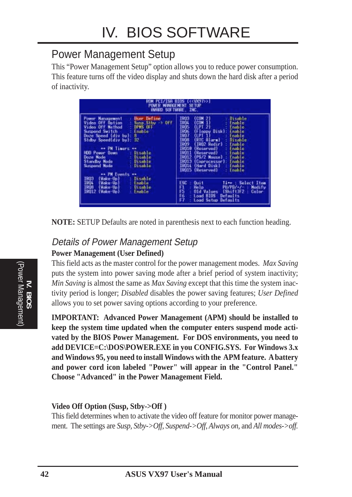### Power Management Setup

This "Power Management Setup" option allows you to reduce power consumption. This feature turns off the video display and shuts down the hard disk after a period of inactivity.

| <b>HUM</b><br>POWER HANAGENENT SETUP<br>ANARD SOFTWARE, INC.                                                                                                                                                                                                                                                                                                                                                                                                                                                                               | <b>LCCARTEEL</b><br><b>BHIS</b>                                                                                                                                                                                                                                                                                                                                                                                                                                                                                                                                                                                            |
|--------------------------------------------------------------------------------------------------------------------------------------------------------------------------------------------------------------------------------------------------------------------------------------------------------------------------------------------------------------------------------------------------------------------------------------------------------------------------------------------------------------------------------------------|----------------------------------------------------------------------------------------------------------------------------------------------------------------------------------------------------------------------------------------------------------------------------------------------------------------------------------------------------------------------------------------------------------------------------------------------------------------------------------------------------------------------------------------------------------------------------------------------------------------------------|
| User Define<br><b>Power Management</b><br>Susp. Sthe<br>Video Off Dation<br><b>DFF</b><br>Video Off Nethod<br><b>TIPMS OFF</b><br>Suspend Switch<br>Enable<br><b>Doze Speed (div hu):</b><br><b>A</b> Maria<br>Sidby Speedidiv bul:<br>92.<br>** PM Timers<br>HDD Power Down<br><b>Disable</b><br>Doze Node<br>Disable<br>Standby Node<br>Disable<br><b>Disable</b><br>Suspend Node<br>** FM Events<br><b>TROS</b><br>TROS<br>(Wake-Up)<br><b>Uisable</b><br>(Wake-Up)<br>: Enable<br>Disable<br>(Make-Up)<br>IM012<br>(Make-Up)<br>Enable | 1903<br>(COM 2)<br>(COM 1)<br>(LPT 2)<br><b>Uisable</b><br><b>TROACH TROACH TROPIC</b><br>Enable<br>Enable<br>(Floppy Disk):<br>Enable<br>(UPT 1)<br>Enable<br>(RTC Alarm)<br>Disable<br>IR09<br>(IRO2 Redir)<br>Enable<br>19010<br><b>Reserved</b><br>Enable<br>$\frac{18011}{18012}$<br>Enable<br><b>Reserved</b><br>$(PS/2$ Nouse)<br>Enable<br>IR013<br>Enable<br>(Coprocessor):<br>IR014<br>Enable<br>(Mard Disk)<br>IROIS (Reserved)<br>Enable<br>ESC<br>Time : Select Item<br>$0$ uit<br>昆<br>Help<br>PU/PD/+/+<br>Modify<br>Old Values (Shift)F2<br>Color<br>56<br>Lond BIOS Defaults<br>F7<br>Load Setup Defaults |

**NOTE:** SETUP Defaults are noted in parenthesis next to each function heading.

#### Details of Power Management Setup **Power Management (User Defined)**

This field acts as the master control for the power management modes. *Max Saving* puts the system into power saving mode after a brief period of system inactivity; *Min Saving* is almost the same as *Max Saving* except that this time the system inactivity period is longer; *Disabled* disables the power saving features; *User Defined* allows you to set power saving options according to your preference.

**IMPORTANT: Advanced Power Management (APM) should be installed to keep the system time updated when the computer enters suspend mode activated by the BIOS Power Management. For DOS environments, you need to add DEVICE=C:\DOS\POWER.EXE in you CONFIG.SYS. For Windows 3.x and Windows 95, you need to install Windows with the APM feature. A battery and power cord icon labeled "Power" will appear in the "Control Panel." Choose "Advanced" in the Power Management Field.**

#### **Video Off Option (Susp, Stby->Off )**

This field determines when to activate the video off feature for monitor power management. The settings are *Susp, Stby->Off, Suspend->Off, Always on,* and *All modes->off.*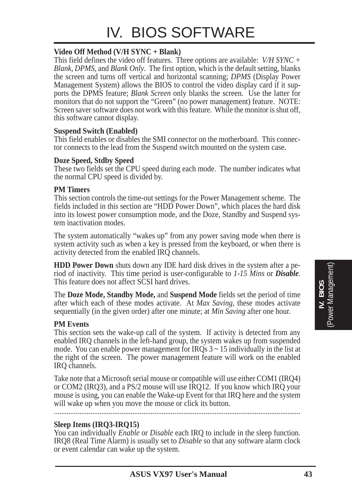#### **Video Off Method (V/H SYNC + Blank)**

This field defines the video off features. Three options are available: *V/H SYNC + Blank, DPMS,* and *Blank Only*. The first option, which is the default setting, blanks the screen and turns off vertical and horizontal scanning; *DPMS* (Display Power Management System) allows the BIOS to control the video display card if it supports the DPMS feature; *Blank Screen* only blanks the screen. Use the latter for monitors that do not support the "Green" (no power management) feature. NOTE: Screen saver software does not work with this feature. While the monitor is shut off, this software cannot display.

#### **Suspend Switch (Enabled)**

This field enables or disables the SMI connector on the motherboard. This connector connects to the lead from the Suspend switch mounted on the system case.

#### **Doze Speed, Stdby Speed**

These two fields set the CPU speed during each mode. The number indicates what the normal CPU speed is divided by.

#### **PM Timers**

This section controls the time-out settings for the Power Management scheme. The fields included in this section are "HDD Power Down", which places the hard disk into its lowest power consumption mode, and the Doze, Standby and Suspend system inactivation modes.

The system automatically "wakes up" from any power saving mode when there is system activity such as when a key is pressed from the keyboard, or when there is activity detected from the enabled IRQ channels.

**HDD Power Down** shuts down any IDE hard disk drives in the system after a period of inactivity. This time period is user-configurable to *1-15 Mins* or *Disable*. This feature does not affect SCSI hard drives.

The **Doze Mode, Standby Mode,** and **Suspend Mode** fields set the period of time after which each of these modes activate. At *Max Saving*, these modes activate sequentially (in the given order) after one minute; at *Min Saving* after one hour.

#### **PM Events**

This section sets the wake-up call of the system. If activity is detected from any enabled IRQ channels in the left-hand group, the system wakes up from suspended mode. You can enable power management for IRQs  $3 \sim 15$  individually in the list at the right of the screen. The power management feature will work on the enabled IRQ channels.

Take note that a Microsoft serial mouse or compatible will use either COM1 (IRQ4) or COM2 (IRQ3), and a PS/2 mouse will use IRQ12. If you know which IRQ your mouse is using, you can enable the Wake-up Event for that IRQ here and the system will wake up when you move the mouse or click its button.

.......................................................................................................................................

#### **Sleep Items (IRQ3-IRQ15)**

You can individually *Enable* or *Disable* each IRQ to include in the sleep function. IRQ8 (Real Time Alarm) is usually set to *Disable* so that any software alarm clock or event calendar can wake up the system.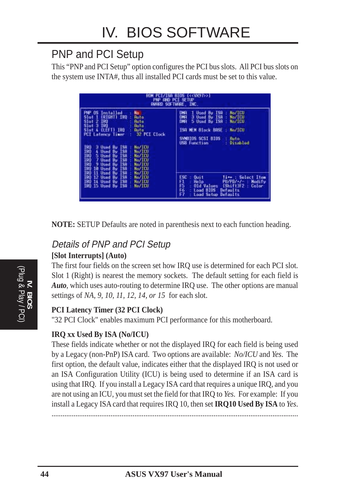### PNP and PCI Setup

This "PNP and PCI Setup" option configures the PCI bus slots. All PCI bus slots on the system use INTA#, thus all installed PCI cards must be set to this value.

|                                                                                                                                                                                                                                                                                                                                                                                                                                                                  | HOM PCE/ISA BIOS (< <wr97>&gt;)<br/>PNP AND PCI SETUP.<br/>ANARD SOFTWARE, INC.</wr97>                                                                                                                          |
|------------------------------------------------------------------------------------------------------------------------------------------------------------------------------------------------------------------------------------------------------------------------------------------------------------------------------------------------------------------------------------------------------------------------------------------------------------------|-----------------------------------------------------------------------------------------------------------------------------------------------------------------------------------------------------------------|
| FNP OS<br>Installed<br>No.<br>(RIGHTI IRD<br>Slot 1<br><b>Huto</b><br>Slot 2 IRD<br><b>Hutu</b><br>Slot 3 180<br>Huto<br>A (LEFT) TRO<br>Sint<br>Butm<br>PCI Latency Timer<br>32 PCI Clock<br>No/TED<br>190<br>3 Used By ISR<br>医鸡尾草<br>4 Used By ISB<br>No./ICII<br><b>ISA</b><br>5 Used Bo<br>No/TCU<br>7 Used By ISB<br>No/ICU<br><b>TSA</b><br>No/TCH<br>9 Ilsed By<br>İRO<br>IS <sub>R</sub><br>No. ICU<br>10 Used By<br>ISH<br>IRO<br>11 Used Bu<br>No/TCU | 1 Used By ISB<br>No/TED<br>明月<br>DMA<br>3 Used By ISR<br>No/TEU<br>No/IEU<br>DHA<br>5 Used By ISR<br><b>BoZECU</b><br><b>ISO MEN Block BRSE</b><br>SVMBIOS SCSI BIOS<br><b>Ruto</b><br>USB Function<br>Disabled |
| IBO.<br>12 Used By ISB<br>No/ICU<br>190) 14 Used By<br><b>ISB</b><br>No/TCU<br>INO 15 Used By ISA<br>No/ICU                                                                                                                                                                                                                                                                                                                                                      | ESC<br>Time : Select Item<br>$0$ ui 1<br>Fl<br>PU/PD/+/+  <br>Help<br>Modify<br>F5<br>(Shift)F2<br><b>Old Values</b><br>Color<br>56<br>Lond BIOS<br>Defaults.<br>F7<br>Load Setup Defaults                      |

**NOTE:** SETUP Defaults are noted in parenthesis next to each function heading.

### Details of PNP and PCI Setup

#### **[Slot Interrupts] (Auto)**

The first four fields on the screen set how IRQ use is determined for each PCI slot. Slot 1 (Right) is nearest the memory sockets. The default setting for each field is *Auto*, which uses auto-routing to determine IRQ use. The other options are manual settings of *NA, 9, 10, 11, 12, 14, or 15* for each slot.

#### **PCI Latency Timer (32 PCI Clock)**

"32 PCI Clock" enables maximum PCI performance for this motherboard.

#### **IRQ xx Used By ISA (No/ICU)**

These fields indicate whether or not the displayed IRQ for each field is being used by a Legacy (non-PnP) ISA card. Two options are available: *No/ICU* and *Yes*. The first option, the default value, indicates either that the displayed IRQ is not used or an ISA Configuration Utility (ICU) is being used to determine if an ISA card is using that IRQ. If you install a Legacy ISA card that requires a unique IRQ, and you are not using an ICU, you must set the field for that IRQ to *Yes*. For example: If you install a Legacy ISA card that requires IRQ 10, then set **IRQ10 Used By ISA** to *Yes*.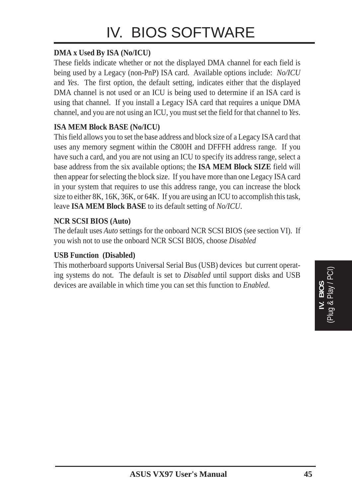#### **DMA x Used By ISA (No/ICU)**

These fields indicate whether or not the displayed DMA channel for each field is being used by a Legacy (non-PnP) ISA card. Available options include: *No/ICU* and *Yes*. The first option, the default setting, indicates either that the displayed DMA channel is not used or an ICU is being used to determine if an ISA card is using that channel. If you install a Legacy ISA card that requires a unique DMA channel, and you are not using an ICU, you must set the field for that channel to *Yes*.

#### **ISA MEM Block BASE (No/ICU)**

This field allows you to set the base address and block size of a Legacy ISA card that uses any memory segment within the C800H and DFFFH address range. If you have such a card, and you are not using an ICU to specify its address range, select a base address from the six available options; the **ISA MEM Block SIZE** field will then appear for selecting the block size. If you have more than one Legacy ISA card in your system that requires to use this address range, you can increase the block size to either 8K, 16K, 36K, or 64K. If you are using an ICU to accomplish this task, leave **ISA MEM Block BASE** to its default setting of *No/ICU*.

#### **NCR SCSI BIOS (Auto)**

The default uses *Auto* settings for the onboard NCR SCSI BIOS (see section VI). If you wish not to use the onboard NCR SCSI BIOS, choose *Disabled*

#### **USB Function (Disabled)**

This motherboard supports Universal Serial Bus (USB) devices but current operating systems do not. The default is set to *Disabled* until support disks and USB devices are available in which time you can set this function to *Enabled*.

(Plug & Play / PCI) Plug & Play / PCI **IV. BIOS**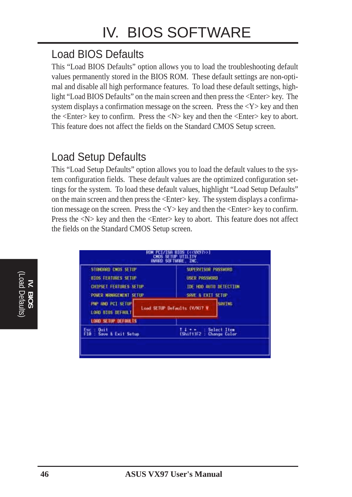## Load BIOS Defaults

This "Load BIOS Defaults" option allows you to load the troubleshooting default values permanently stored in the BIOS ROM. These default settings are non-optimal and disable all high performance features. To load these default settings, highlight "Load BIOS Defaults" on the main screen and then press the <Enter> key. The system displays a confirmation message on the screen. Press the  $\langle Y \rangle$  key and then the  $\leq$ Enter $\geq$  key to confirm. Press the  $\leq$ N $\geq$  key and then the  $\leq$ Enter $\geq$  key to abort. This feature does not affect the fields on the Standard CMOS Setup screen.

## Load Setup Defaults

This "Load Setup Defaults" option allows you to load the default values to the system configuration fields. These default values are the optimized configuration settings for the system. To load these default values, highlight "Load Setup Defaults" on the main screen and then press the <Enter> key. The system displays a confirmation message on the screen. Press the  $\langle Y \rangle$  key and then the  $\langle$ Enter $\rangle$  key to confirm. Press the <N> key and then the <Enter> key to abort. This feature does not affect the fields on the Standard CMOS Setup screen.

|                                                   | CHOS SETUP UTILITY<br>ANARD SOFTWARE, INC.     |
|---------------------------------------------------|------------------------------------------------|
| STONDARD CHOS SETUP                               | SUPERVISOR PRSSNORD                            |
| <b>BIOS FEATURES SETUP</b>                        | <b>USER PRSSHORD</b>                           |
| CHIPSET FEATURES SETUP                            | THE HOD AUTO DETECTION                         |
| <b><i>POWER MRNAGEMENT SETUP</i></b>              | SAVE & EXIT SETUP                              |
| FWP HWD PCT SETUP<br>LOAD 810S DEFAULT            | <b>SAVING</b><br>Load SETUP Defaults (V/N17 V  |
| <b>LOOD SETUP DEFAULTS</b>                        |                                                |
| <b>Ouit</b><br>Esc : :<br>F10 : Savo & Exit Setup | Ti + + Select Item<br>(Shift)F2 : Change Color |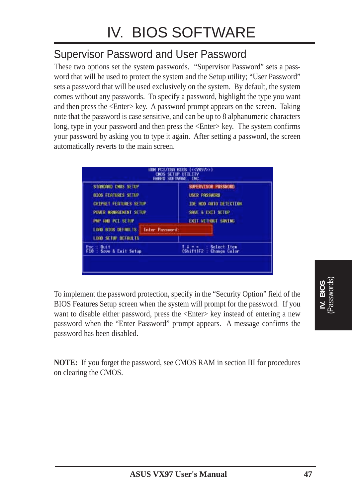### Supervisor Password and User Password

These two options set the system passwords. "Supervisor Password" sets a password that will be used to protect the system and the Setup utility; "User Password" sets a password that will be used exclusively on the system. By default, the system comes without any passwords. To specify a password, highlight the type you want and then press the <Enter> key. A password prompt appears on the screen. Taking note that the password is case sensitive, and can be up to 8 alphanumeric characters long, type in your password and then press the  $\leq$  Enter $\geq$  key. The system confirms your password by asking you to type it again. After setting a password, the screen automatically reverts to the main screen.

|                                                                                                                                    | CHOS<br><b>ANRAD SOFTWARE, INC.</b> | /ISA BIOS (< <wr97>&gt;)<br/><b>UTTLITY</b></wr97>                                                                       |
|------------------------------------------------------------------------------------------------------------------------------------|-------------------------------------|--------------------------------------------------------------------------------------------------------------------------|
| STONDARD CHOS SETUP<br><b>810S FEATURES SETUP</b><br>CHIPSET FEATURES SETUP<br><b>POWER NRNAGENENT SETUP</b><br>FWP TIMO PCT SETUP |                                     | SUPERVISOR PRSSNORD<br><b>USER PRSSHORD</b><br>THE HOD AUTO DETECTION<br>SAVE & EXIT SETUP<br><b>EXIT VITHOUT SAVING</b> |
| LOAD 810S DEFAULTS<br>LOOD SETUP DEFAULTS                                                                                          | Enter Password:                     |                                                                                                                          |
| <b>Ouit</b><br>Save & Exit Setup<br>F10.                                                                                           |                                     | <b>Select Item</b><br>(Shift)F2 : Change Color                                                                           |

To implement the password protection, specify in the "Security Option" field of the BIOS Features Setup screen when the system will prompt for the password. If you want to disable either password, press the <Enter> key instead of entering a new password when the "Enter Password" prompt appears. A message confirms the password has been disabled.

**NOTE:** If you forget the password, see CMOS RAM in section III for procedures on clearing the CMOS.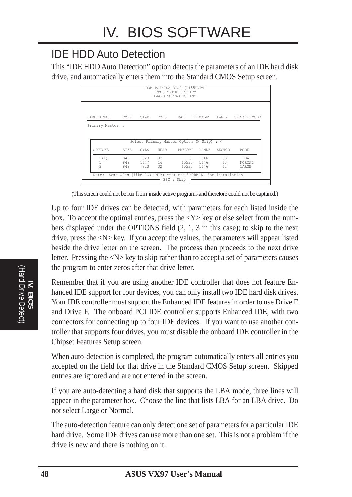### IDE HDD Auto Detection

This "IDE HDD Auto Detection" option detects the parameters of an IDE hard disk drive, and automatically enters them into the Standard CMOS Setup screen.



(This screen could not be run from inside active programs and therefore could not be captured.)

Up to four IDE drives can be detected, with parameters for each listed inside the box. To accept the optimal entries, press the  $\langle Y \rangle$  key or else select from the numbers displayed under the OPTIONS field (2, 1, 3 in this case); to skip to the next drive, press the <N> key. If you accept the values, the parameters will appear listed beside the drive letter on the screen. The process then proceeds to the next drive letter. Pressing the  $\langle N \rangle$  key to skip rather than to accept a set of parameters causes the program to enter zeros after that drive letter.

Remember that if you are using another IDE controller that does not feature Enhanced IDE support for four devices, you can only install two IDE hard disk drives. Your IDE controller must support the Enhanced IDE features in order to use Drive E and Drive F. The onboard PCI IDE controller supports Enhanced IDE, with two connectors for connecting up to four IDE devices. If you want to use another controller that supports four drives, you must disable the onboard IDE controller in the Chipset Features Setup screen.

When auto-detection is completed, the program automatically enters all entries you accepted on the field for that drive in the Standard CMOS Setup screen. Skipped entries are ignored and are not entered in the screen.

If you are auto-detecting a hard disk that supports the LBA mode, three lines will appear in the parameter box. Choose the line that lists LBA for an LBA drive. Do not select Large or Normal.

The auto-detection feature can only detect one set of parameters for a particular IDE hard drive. Some IDE drives can use more than one set. This is not a problem if the drive is new and there is nothing on it.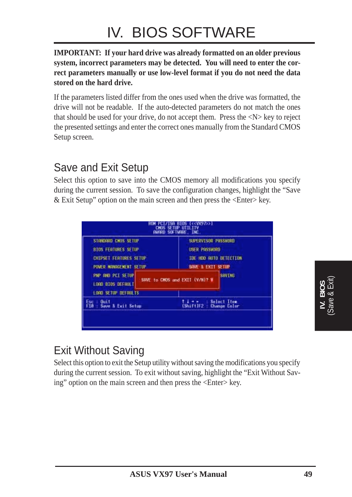**IMPORTANT: If your hard drive was already formatted on an older previous system, incorrect parameters may be detected. You will need to enter the correct parameters manually or use low-level format if you do not need the data stored on the hard drive.**

If the parameters listed differ from the ones used when the drive was formatted, the drive will not be readable. If the auto-detected parameters do not match the ones that should be used for your drive, do not accept them. Press the  $\langle N \rangle$  key to reject the presented settings and enter the correct ones manually from the Standard CMOS Setup screen.

### Save and Exit Setup

Select this option to save into the CMOS memory all modifications you specify during the current session. To save the configuration changes, highlight the "Save & Exit Setup" option on the main screen and then press the <Enter> key.

| STANDARD CHOS SETUP<br><b>BTOS FEATURES SETUP</b><br>CHIPSET FEATURES SETUP<br>POWER MANAGEMENT SETUP<br>PNP AND PCT SETUP | SUPERVISOR PASSHUAD<br>USER PASSHORD<br>TOE HOD RUTO DETECTION<br>SAVE & EXIT SETUP<br>SAVING<br>SRVE to CHOS and EXIT (V/M)? V |
|----------------------------------------------------------------------------------------------------------------------------|---------------------------------------------------------------------------------------------------------------------------------|
| LORD BIDS DEFAULT<br>LOAD SETUP DETAILTS                                                                                   |                                                                                                                                 |
| <b>Buit</b><br>Ese :<br><b>FID : Save &amp; Exil Setup</b>                                                                 | <b>Select Item</b><br>(Shift)F2<br><b>Change Color</b>                                                                          |

## **IV. BIOS** (Save & Exit)

## Exit Without Saving

Select this option to exit the Setup utility without saving the modifications you specify during the current session. To exit without saving, highlight the "Exit Without Saving" option on the main screen and then press the <Enter> key.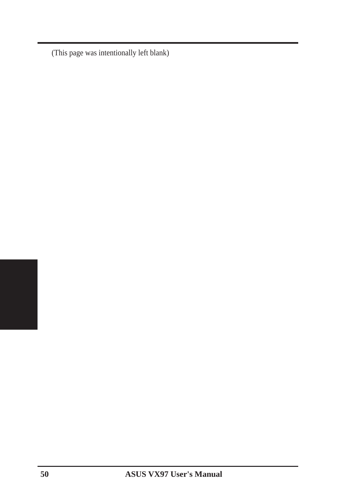(This page was intentionally left blank)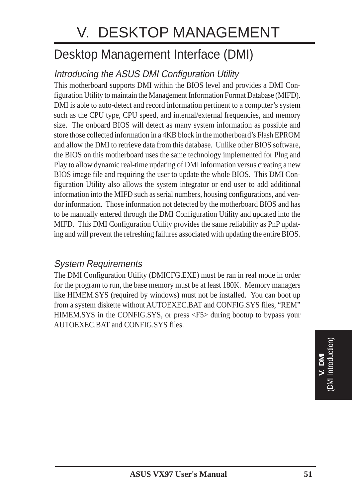## V. DESKTOP MANAGEMENT

## Desktop Management Interface (DMI)

#### Introducing the ASUS DMI Configuration Utility

This motherboard supports DMI within the BIOS level and provides a DMI Configuration Utility to maintain the Management Information Format Database (MIFD). DMI is able to auto-detect and record information pertinent to a computer's system such as the CPU type, CPU speed, and internal/external frequencies, and memory size. The onboard BIOS will detect as many system information as possible and store those collected information in a 4KB block in the motherboard's Flash EPROM and allow the DMI to retrieve data from this database. Unlike other BIOS software, the BIOS on this motherboard uses the same technology implemented for Plug and Play to allow dynamic real-time updating of DMI information versus creating a new BIOS image file and requiring the user to update the whole BIOS. This DMI Configuration Utility also allows the system integrator or end user to add additional information into the MIFD such as serial numbers, housing configurations, and vendor information. Those information not detected by the motherboard BIOS and has to be manually entered through the DMI Configuration Utility and updated into the MIFD. This DMI Configuration Utility provides the same reliability as PnP updating and will prevent the refreshing failures associated with updating the entire BIOS.

#### System Requirements

The DMI Configuration Utility (DMICFG.EXE) must be ran in real mode in order for the program to run, the base memory must be at least 180K. Memory managers like HIMEM.SYS (required by windows) must not be installed. You can boot up from a system diskette without AUTOEXEC.BAT and CONFIG.SYS files, "REM" HIMEM.SYS in the CONFIG.SYS, or press <F5> during bootup to bypass your AUTOEXEC.BAT and CONFIG.SYS files.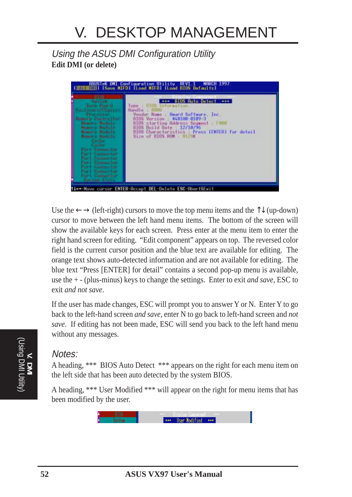Using the ASUS DMI Configuration Utility **Edit DMI (or delete)**



Use the  $\leftarrow \rightarrow$  (left-right) cursors to move the top menu items and the  $\uparrow \downarrow$  (up-down) cursor to move between the left hand menu items. The bottom of the screen will show the available keys for each screen. Press enter at the menu item to enter the right hand screen for editing. "Edit component" appears on top. The reversed color field is the current cursor position and the blue text are available for editing. The orange text shows auto-detected information and are not available for editing. The blue text "Press [ENTER] for detail" contains a second pop-up menu is available, use the + - (plus-minus) keys to change the settings. Enter to exit *and save*, ESC to exit *and not save*.

If the user has made changes, ESC will prompt you to answer Y or N. Enter Y to go back to the left-hand screen *and save*, enter N to go back to left-hand screen and *not save*. If editing has not been made, ESC will send you back to the left hand menu without any messages.

#### Notes:

A heading, \*\*\* BIOS Auto Detect \*\*\* appears on the right for each menu item on the left side that has been auto detected by the system BIOS.

A heading, \*\*\* User Modified \*\*\* will appear on the right for menu items that has been modified by the user.

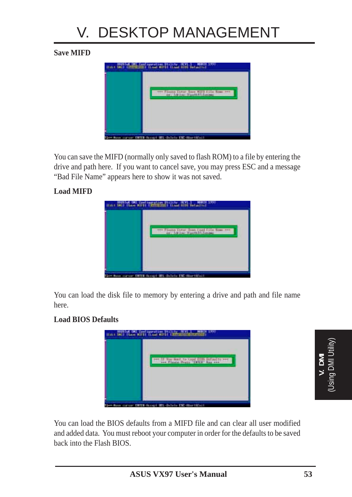## V. DESKTOP MANAGEMENT

#### **Save MIFD**



You can save the MIFD (normally only saved to flash ROM) to a file by entering the drive and path here. If you want to cancel save, you may press ESC and a message "Bad File Name" appears here to show it was not saved.

#### **Load MIFD**



You can load the disk file to memory by entering a drive and path and file name here.

#### **Load BIOS Defaults**



(Using DMI Utility)Using DMI Utility) **V. DMI**

You can load the BIOS defaults from a MIFD file and can clear all user modified and added data. You must reboot your computer in order for the defaults to be saved back into the Flash BIOS.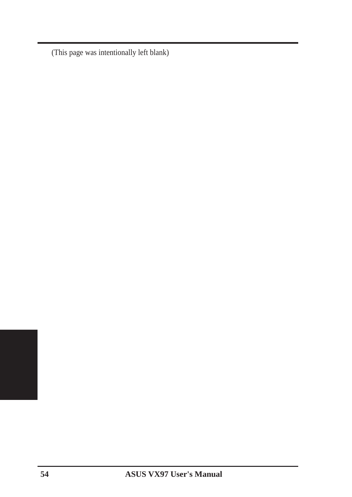(This page was intentionally left blank)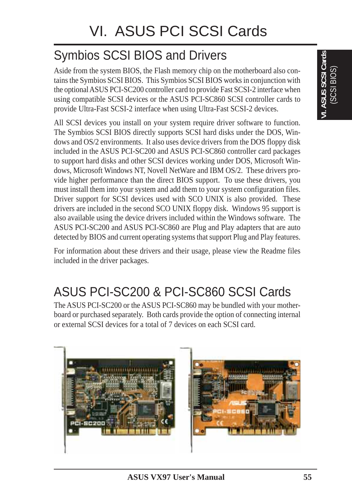## Symbios SCSI BIOS and Drivers

Aside from the system BIOS, the Flash memory chip on the motherboard also contains the Symbios SCSI BIOS. This Symbios SCSI BIOS works in conjunction with the optional ASUS PCI-SC200 controller card to provide Fast SCSI-2 interface when using compatible SCSI devices or the ASUS PCI-SC860 SCSI controller cards to provide Ultra-Fast SCSI-2 interface when using Ultra-Fast SCSI-2 devices.

All SCSI devices you install on your system require driver software to function. The Symbios SCSI BIOS directly supports SCSI hard disks under the DOS, Windows and OS/2 environments. It also uses device drivers from the DOS floppy disk included in the ASUS PCI-SC200 and ASUS PCI-SC860 controller card packages to support hard disks and other SCSI devices working under DOS, Microsoft Windows, Microsoft Windows NT, Novell NetWare and IBM OS/2. These drivers provide higher performance than the direct BIOS support. To use these drivers, you must install them into your system and add them to your system configuration files. Driver support for SCSI devices used with SCO UNIX is also provided. These drivers are included in the second SCO UNIX floppy disk. Windows 95 support is also available using the device drivers included within the Windows software. The ASUS PCI-SC200 and ASUS PCI-SC860 are Plug and Play adapters that are auto detected by BIOS and current operating systems that support Plug and Play features.

For information about these drivers and their usage, please view the Readme files included in the driver packages.

## ASUS PCI-SC200 & PCI-SC860 SCSI Cards

The ASUS PCI-SC200 or the ASUS PCI-SC860 may be bundled with your motherboard or purchased separately. Both cards provide the option of connecting internal or external SCSI devices for a total of 7 devices on each SCSI card.

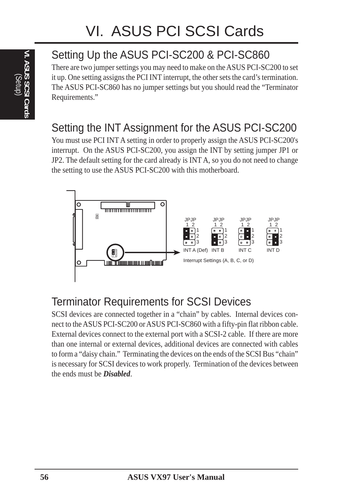# **VI. ASUS SCSI Cards** (Setup)

## Setting Up the ASUS PCI-SC200 & PCI-SC860

There are two jumper settings you may need to make on the ASUS PCI-SC200 to set it up. One setting assigns the PCI INT interrupt, the other sets the card's termination. The ASUS PCI-SC860 has no jumper settings but you should read the "Terminator Requirements."

## Setting the INT Assignment for the ASUS PCI-SC200

You must use PCI INT A setting in order to properly assign the ASUS PCI-SC200's interrupt. On the ASUS PCI-SC200, you assign the INT by setting jumper JP1 or JP2. The default setting for the card already is INT A, so you do not need to change the setting to use the ASUS PCI-SC200 with this motherboard.



## Terminator Requirements for SCSI Devices

SCSI devices are connected together in a "chain" by cables. Internal devices connect to the ASUS PCI-SC200 or ASUS PCI-SC860 with a fifty-pin flat ribbon cable. External devices connect to the external port with a SCSI-2 cable. If there are more than one internal or external devices, additional devices are connected with cables to form a "daisy chain." Terminating the devices on the ends of the SCSI Bus "chain" is necessary for SCSI devices to work properly. Termination of the devices between the ends must be *Disabled*.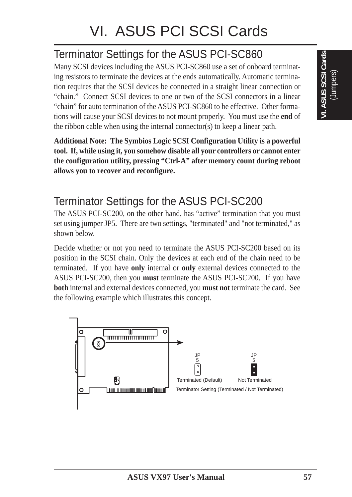## Terminator Settings for the ASUS PCI-SC860

Many SCSI devices including the ASUS PCI-SC860 use a set of onboard terminating resistors to terminate the devices at the ends automatically. Automatic termination requires that the SCSI devices be connected in a straight linear connection or "chain." Connect SCSI devices to one or two of the SCSI connectors in a linear "chain" for auto termination of the ASUS PCI-SC860 to be effective. Other formations will cause your SCSI devices to not mount properly. You must use the **end** of the ribbon cable when using the internal connector(s) to keep a linear path.

**Additional Note: The Symbios Logic SCSI Configuration Utility is a powerful tool. If, while using it, you somehow disable all your controllers or cannot enter the configuration utility, pressing "Ctrl-A" after memory count during reboot allows you to recover and reconfigure.**

## Terminator Settings for the ASUS PCI-SC200

The ASUS PCI-SC200, on the other hand, has "active" termination that you must set using jumper JP5. There are two settings, "terminated" and "not terminated," as shown below.

Decide whether or not you need to terminate the ASUS PCI-SC200 based on its position in the SCSI chain. Only the devices at each end of the chain need to be terminated. If you have **only** internal or **only** external devices connected to the ASUS PCI-SC200, then you **must** terminate the ASUS PCI-SC200. If you have **both** internal and external devices connected, you **must not** terminate the card. See the following example which illustrates this concept.



**VI. ASUS SCSI Cards** (Jumpers)

ASUS SCSI Cards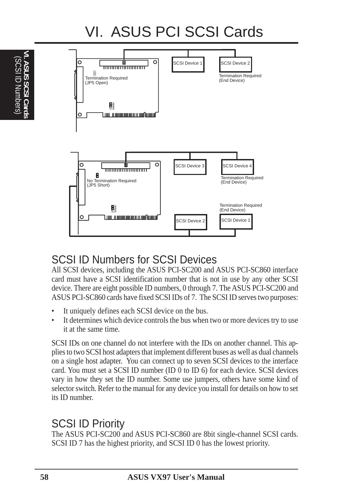## VI. ASUS PCI SCSI Cards



## SCSI ID Numbers for SCSI Devices

All SCSI devices, including the ASUS PCI-SC200 and ASUS PCI-SC860 interface card must have a SCSI identification number that is not in use by any other SCSI device. There are eight possible ID numbers, 0 through 7. The ASUS PCI-SC200 and ASUS PCI-SC860 cards have fixed SCSI IDs of 7. The SCSI ID serves two purposes:

- It uniquely defines each SCSI device on the bus.
- It determines which device controls the bus when two or more devices try to use it at the same time.

SCSI IDs on one channel do not interfere with the IDs on another channel. This applies to two SCSI host adapters that implement different buses as well as dual channels on a single host adapter. You can connect up to seven SCSI devices to the interface card. You must set a SCSI ID number (ID 0 to ID 6) for each device. SCSI devices vary in how they set the ID number. Some use jumpers, others have some kind of selector switch. Refer to the manual for any device you install for details on how to set its ID number.

### SCSI ID Priority

The ASUS PCI-SC200 and ASUS PCI-SC860 are 8bit single-channel SCSI cards. SCSI ID 7 has the highest priority, and SCSI ID 0 has the lowest priority.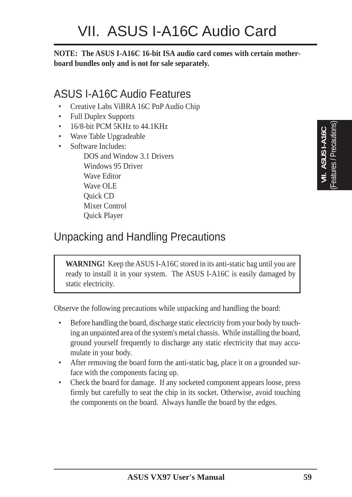**NOTE: The ASUS I-A16C 16-bit ISA audio card comes with certain motherboard bundles only and is not for sale separately.**

### ASUS I-A16C Audio Features

- Creative Labs ViBRA 16C PnP Audio Chip
- Full Duplex Supports
- 16/8-bit PCM 5KHz to 44.1KHz
- Wave Table Upgradeable
- Software Includes: DOS and Window 3.1 Drivers Windows 95 Driver Wave Editor Wave OLE Quick CD

Mixer Control Quick Player

## Unpacking and Handling Precautions

**WARNING!**Keep the ASUS I-A16C stored in its anti-static bag until you are ready to install it in your system. The ASUS I-A16C is easily damaged by static electricity.

Observe the following precautions while unpacking and handling the board:

- Before handling the board, discharge static electricity from your body by touching an unpainted area of the system's metal chassis. While installing the board, ground yourself frequently to discharge any static electricity that may accumulate in your body.
- After removing the board form the anti-static bag, place it on a grounded surface with the components facing up.
- Check the board for damage. If any socketed component appears loose, press firmly but carefully to seat the chip in its socket. Otherwise, avoid touching the components on the board. Always handle the board by the edges.